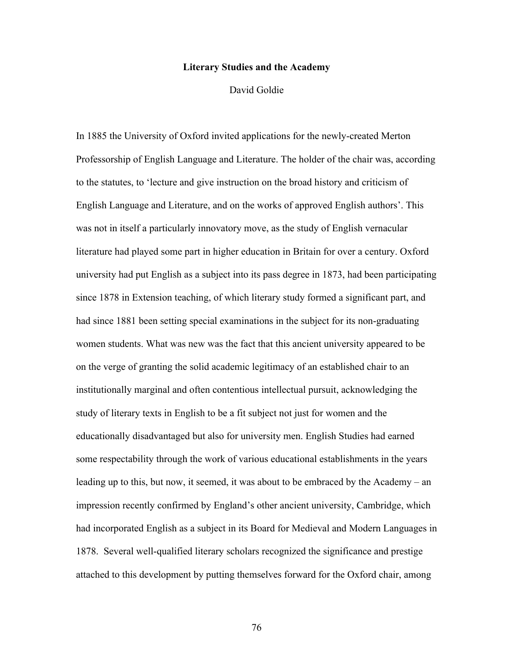### **Literary Studies and the Academy**

David Goldie

In 1885 the University of Oxford invited applications for the newly-created Merton Professorship of English Language and Literature. The holder of the chair was, according to the statutes, to 'lecture and give instruction on the broad history and criticism of English Language and Literature, and on the works of approved English authors'. This was not in itself a particularly innovatory move, as the study of English vernacular literature had played some part in higher education in Britain for over a century. Oxford university had put English as a subject into its pass degree in 1873, had been participating since 1878 in Extension teaching, of which literary study formed a significant part, and had since 1881 been setting special examinations in the subject for its non-graduating women students. What was new was the fact that this ancient university appeared to be on the verge of granting the solid academic legitimacy of an established chair to an institutionally marginal and often contentious intellectual pursuit, acknowledging the study of literary texts in English to be a fit subject not just for women and the educationally disadvantaged but also for university men. English Studies had earned some respectability through the work of various educational establishments in the years leading up to this, but now, it seemed, it was about to be embraced by the Academy – an impression recently confirmed by England's other ancient university, Cambridge, which had incorporated English as a subject in its Board for Medieval and Modern Languages in 1878. Several well-qualified literary scholars recognized the significance and prestige attached to this development by putting themselves forward for the Oxford chair, among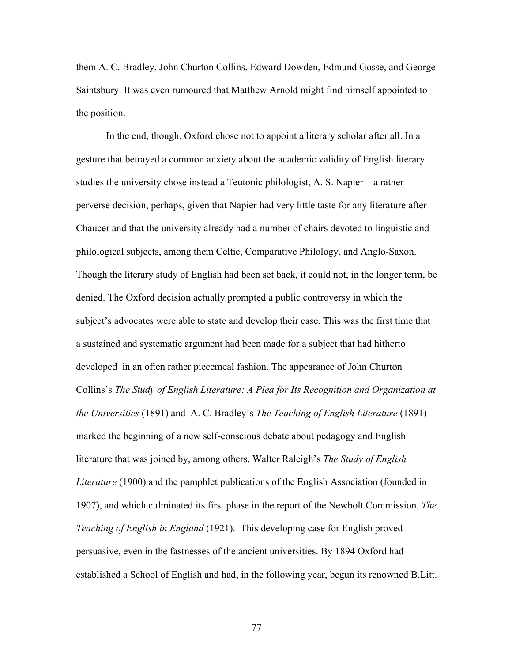them A. C. Bradley, John Churton Collins, Edward Dowden, Edmund Gosse, and George Saintsbury. It was even rumoured that Matthew Arnold might find himself appointed to the position.

In the end, though, Oxford chose not to appoint a literary scholar after all. In a gesture that betrayed a common anxiety about the academic validity of English literary studies the university chose instead a Teutonic philologist, A. S. Napier – a rather perverse decision, perhaps, given that Napier had very little taste for any literature after Chaucer and that the university already had a number of chairs devoted to linguistic and philological subjects, among them Celtic, Comparative Philology, and Anglo-Saxon. Though the literary study of English had been set back, it could not, in the longer term, be denied. The Oxford decision actually prompted a public controversy in which the subject's advocates were able to state and develop their case. This was the first time that a sustained and systematic argument had been made for a subject that had hitherto developed in an often rather piecemeal fashion. The appearance of John Churton Collins's *The Study of English Literature: A Plea for Its Recognition and Organization at the Universities* (1891) and A. C. Bradley's *The Teaching of English Literature* (1891) marked the beginning of a new self-conscious debate about pedagogy and English literature that was joined by, among others, Walter Raleigh's *The Study of English Literature* (1900) and the pamphlet publications of the English Association (founded in 1907), and which culminated its first phase in the report of the Newbolt Commission, *The Teaching of English in England* (1921). This developing case for English proved persuasive, even in the fastnesses of the ancient universities. By 1894 Oxford had established a School of English and had, in the following year, begun its renowned B.Litt.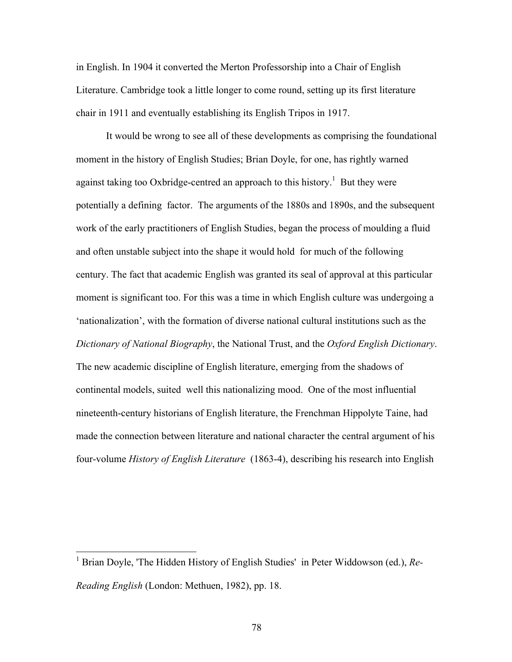in English. In 1904 it converted the Merton Professorship into a Chair of English Literature. Cambridge took a little longer to come round, setting up its first literature chair in 1911 and eventually establishing its English Tripos in 1917.

It would be wrong to see all of these developments as comprising the foundational moment in the history of English Studies; Brian Doyle, for one, has rightly warned against taking too Oxbridge-centred an approach to this history.<sup>1</sup> But they were potentially a defining factor. The arguments of the 1880s and 1890s, and the subsequent work of the early practitioners of English Studies, began the process of moulding a fluid and often unstable subject into the shape it would hold for much of the following century. The fact that academic English was granted its seal of approval at this particular moment is significant too. For this was a time in which English culture was undergoing a 'nationalization', with the formation of diverse national cultural institutions such as the *Dictionary of National Biography*, the National Trust, and the *Oxford English Dictionary*. The new academic discipline of English literature, emerging from the shadows of continental models, suited well this nationalizing mood. One of the most influential nineteenth-century historians of English literature, the Frenchman Hippolyte Taine, had made the connection between literature and national character the central argument of his four-volume *History of English Literature* (1863-4), describing his research into English

 <sup>1</sup> Brian Doyle, 'The Hidden History of English Studies' in Peter Widdowson (ed.), *Re-Reading English* (London: Methuen, 1982), pp. 18.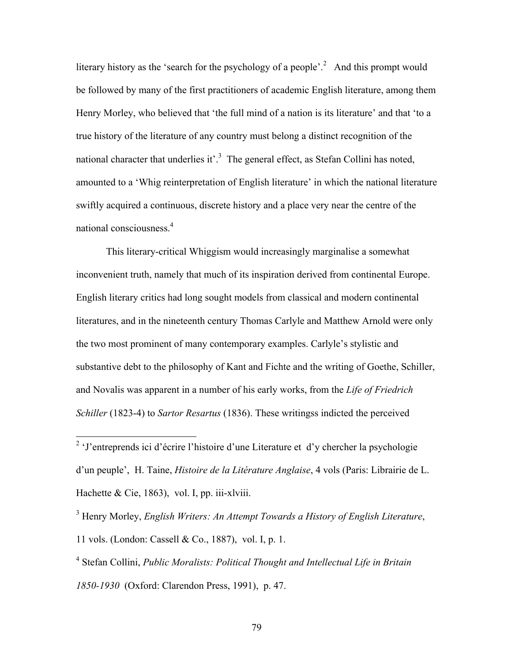literary history as the 'search for the psychology of a people'.<sup>2</sup> And this prompt would be followed by many of the first practitioners of academic English literature, among them Henry Morley, who believed that 'the full mind of a nation is its literature' and that 'to a true history of the literature of any country must belong a distinct recognition of the national character that underlies it'.<sup>3</sup> The general effect, as Stefan Collini has noted, amounted to a 'Whig reinterpretation of English literature' in which the national literature swiftly acquired a continuous, discrete history and a place very near the centre of the national consciousness.<sup>4</sup>

This literary-critical Whiggism would increasingly marginalise a somewhat inconvenient truth, namely that much of its inspiration derived from continental Europe. English literary critics had long sought models from classical and modern continental literatures, and in the nineteenth century Thomas Carlyle and Matthew Arnold were only the two most prominent of many contemporary examples. Carlyle's stylistic and substantive debt to the philosophy of Kant and Fichte and the writing of Goethe, Schiller, and Novalis was apparent in a number of his early works, from the *Life of Friedrich Schiller* (1823-4) to *Sartor Resartus* (1836). These writingss indicted the perceived

<sup>3</sup> Henry Morley, *English Writers: An Attempt Towards a History of English Literature*, 11 vols. (London: Cassell & Co., 1887), vol. I, p. 1.

<sup>4</sup> Stefan Collini, *Public Moralists: Political Thought and Intellectual Life in Britain 1850-1930* (Oxford: Clarendon Press, 1991), p. 47.

 <sup>2</sup> 'J'entreprends ici d'écrire l'histoire d'une Literature et d'y chercher la psychologie d'un peuple', H. Taine, *Histoire de la Litérature Anglaise*, 4 vols (Paris: Librairie de L. Hachette & Cie, 1863), vol. I, pp. iii-xlviii.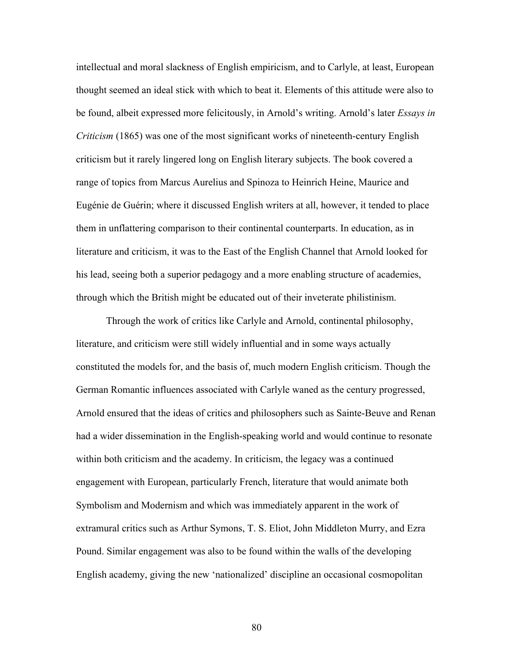intellectual and moral slackness of English empiricism, and to Carlyle, at least, European thought seemed an ideal stick with which to beat it. Elements of this attitude were also to be found, albeit expressed more felicitously, in Arnold's writing. Arnold's later *Essays in Criticism* (1865) was one of the most significant works of nineteenth-century English criticism but it rarely lingered long on English literary subjects. The book covered a range of topics from Marcus Aurelius and Spinoza to Heinrich Heine, Maurice and Eugénie de Guérin; where it discussed English writers at all, however, it tended to place them in unflattering comparison to their continental counterparts. In education, as in literature and criticism, it was to the East of the English Channel that Arnold looked for his lead, seeing both a superior pedagogy and a more enabling structure of academies, through which the British might be educated out of their inveterate philistinism.

Through the work of critics like Carlyle and Arnold, continental philosophy, literature, and criticism were still widely influential and in some ways actually constituted the models for, and the basis of, much modern English criticism. Though the German Romantic influences associated with Carlyle waned as the century progressed, Arnold ensured that the ideas of critics and philosophers such as Sainte-Beuve and Renan had a wider dissemination in the English-speaking world and would continue to resonate within both criticism and the academy. In criticism, the legacy was a continued engagement with European, particularly French, literature that would animate both Symbolism and Modernism and which was immediately apparent in the work of extramural critics such as Arthur Symons, T. S. Eliot, John Middleton Murry, and Ezra Pound. Similar engagement was also to be found within the walls of the developing English academy, giving the new 'nationalized' discipline an occasional cosmopolitan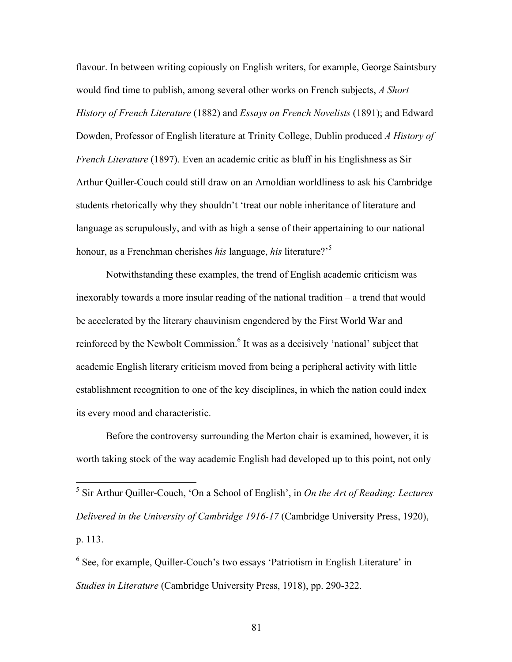flavour. In between writing copiously on English writers, for example, George Saintsbury would find time to publish, among several other works on French subjects, *A Short History of French Literature* (1882) and *Essays on French Novelists* (1891); and Edward Dowden, Professor of English literature at Trinity College, Dublin produced *A History of French Literature* (1897). Even an academic critic as bluff in his Englishness as Sir Arthur Quiller-Couch could still draw on an Arnoldian worldliness to ask his Cambridge students rhetorically why they shouldn't 'treat our noble inheritance of literature and language as scrupulously, and with as high a sense of their appertaining to our national honour, as a Frenchman cherishes *his* language, *his* literature?'<sup>5</sup>

Notwithstanding these examples, the trend of English academic criticism was inexorably towards a more insular reading of the national tradition – a trend that would be accelerated by the literary chauvinism engendered by the First World War and reinforced by the Newbolt Commission.<sup>6</sup> It was as a decisively 'national' subject that academic English literary criticism moved from being a peripheral activity with little establishment recognition to one of the key disciplines, in which the nation could index its every mood and characteristic.

Before the controversy surrounding the Merton chair is examined, however, it is worth taking stock of the way academic English had developed up to this point, not only

 5 Sir Arthur Quiller-Couch, 'On a School of English', in *On the Art of Reading: Lectures Delivered in the University of Cambridge 1916-17* (Cambridge University Press, 1920), p. 113.

 $6$  See, for example, Quiller-Couch's two essays 'Patriotism in English Literature' in *Studies in Literature* (Cambridge University Press, 1918), pp. 290-322.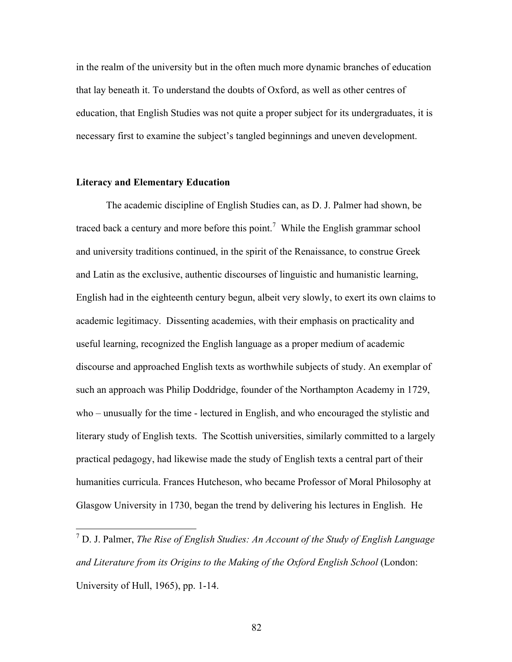in the realm of the university but in the often much more dynamic branches of education that lay beneath it. To understand the doubts of Oxford, as well as other centres of education, that English Studies was not quite a proper subject for its undergraduates, it is necessary first to examine the subject's tangled beginnings and uneven development.

#### **Literacy and Elementary Education**

The academic discipline of English Studies can, as D. J. Palmer had shown, be traced back a century and more before this point.<sup>7</sup> While the English grammar school and university traditions continued, in the spirit of the Renaissance, to construe Greek and Latin as the exclusive, authentic discourses of linguistic and humanistic learning, English had in the eighteenth century begun, albeit very slowly, to exert its own claims to academic legitimacy. Dissenting academies, with their emphasis on practicality and useful learning, recognized the English language as a proper medium of academic discourse and approached English texts as worthwhile subjects of study. An exemplar of such an approach was Philip Doddridge, founder of the Northampton Academy in 1729, who – unusually for the time - lectured in English, and who encouraged the stylistic and literary study of English texts. The Scottish universities, similarly committed to a largely practical pedagogy, had likewise made the study of English texts a central part of their humanities curricula. Frances Hutcheson, who became Professor of Moral Philosophy at Glasgow University in 1730, began the trend by delivering his lectures in English. He

 <sup>7</sup> D. J. Palmer, *The Rise of English Studies: An Account of the Study of English Language and Literature from its Origins to the Making of the Oxford English School* (London: University of Hull, 1965), pp. 1-14.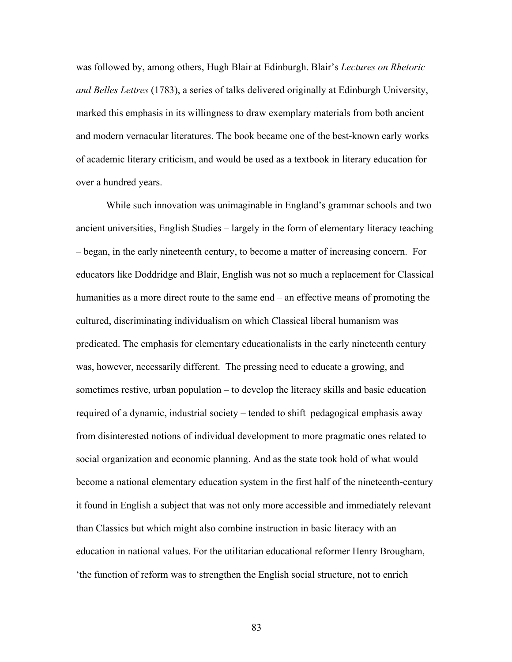was followed by, among others, Hugh Blair at Edinburgh. Blair's *Lectures on Rhetoric and Belles Lettres* (1783), a series of talks delivered originally at Edinburgh University, marked this emphasis in its willingness to draw exemplary materials from both ancient and modern vernacular literatures. The book became one of the best-known early works of academic literary criticism, and would be used as a textbook in literary education for over a hundred years.

While such innovation was unimaginable in England's grammar schools and two ancient universities, English Studies – largely in the form of elementary literacy teaching – began, in the early nineteenth century, to become a matter of increasing concern. For educators like Doddridge and Blair, English was not so much a replacement for Classical humanities as a more direct route to the same end – an effective means of promoting the cultured, discriminating individualism on which Classical liberal humanism was predicated. The emphasis for elementary educationalists in the early nineteenth century was, however, necessarily different. The pressing need to educate a growing, and sometimes restive, urban population – to develop the literacy skills and basic education required of a dynamic, industrial society – tended to shift pedagogical emphasis away from disinterested notions of individual development to more pragmatic ones related to social organization and economic planning. And as the state took hold of what would become a national elementary education system in the first half of the nineteenth-century it found in English a subject that was not only more accessible and immediately relevant than Classics but which might also combine instruction in basic literacy with an education in national values. For the utilitarian educational reformer Henry Brougham, 'the function of reform was to strengthen the English social structure, not to enrich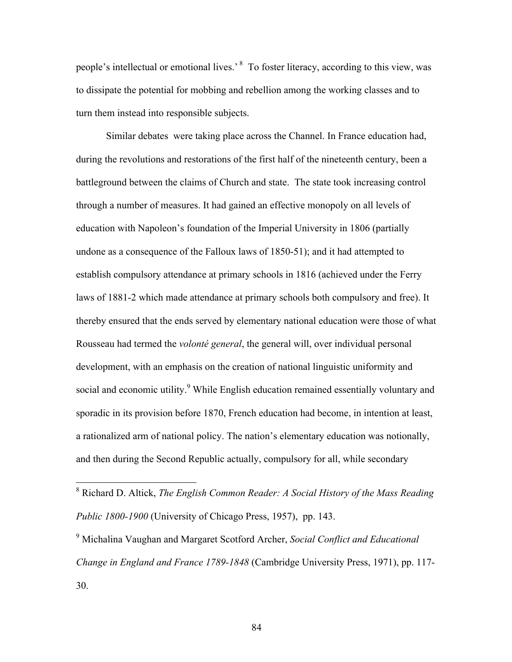people's intellectual or emotional lives.<sup>8</sup> To foster literacy, according to this view, was to dissipate the potential for mobbing and rebellion among the working classes and to turn them instead into responsible subjects.

Similar debates were taking place across the Channel. In France education had, during the revolutions and restorations of the first half of the nineteenth century, been a battleground between the claims of Church and state. The state took increasing control through a number of measures. It had gained an effective monopoly on all levels of education with Napoleon's foundation of the Imperial University in 1806 (partially undone as a consequence of the Falloux laws of 1850-51); and it had attempted to establish compulsory attendance at primary schools in 1816 (achieved under the Ferry laws of 1881-2 which made attendance at primary schools both compulsory and free). It thereby ensured that the ends served by elementary national education were those of what Rousseau had termed the *volonté general*, the general will, over individual personal development, with an emphasis on the creation of national linguistic uniformity and social and economic utility.<sup>9</sup> While English education remained essentially voluntary and sporadic in its provision before 1870, French education had become, in intention at least, a rationalized arm of national policy. The nation's elementary education was notionally, and then during the Second Republic actually, compulsory for all, while secondary

<sup>9</sup> Michalina Vaughan and Margaret Scotford Archer, *Social Conflict and Educational Change in England and France 1789-1848* (Cambridge University Press, 1971), pp. 117- 30.

 <sup>8</sup> Richard D. Altick, *The English Common Reader: A Social History of the Mass Reading Public 1800-1900* (University of Chicago Press, 1957), pp. 143.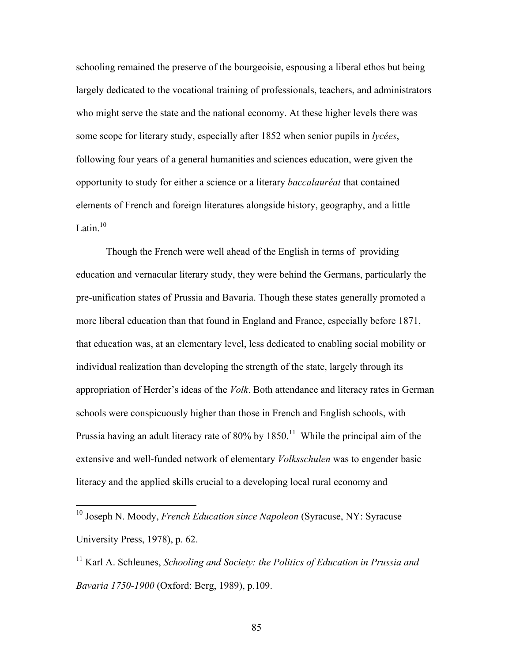schooling remained the preserve of the bourgeoisie, espousing a liberal ethos but being largely dedicated to the vocational training of professionals, teachers, and administrators who might serve the state and the national economy. At these higher levels there was some scope for literary study, especially after 1852 when senior pupils in *lycées*, following four years of a general humanities and sciences education, were given the opportunity to study for either a science or a literary *baccalauréat* that contained elements of French and foreign literatures alongside history, geography, and a little Latin.<sup>10</sup>

Though the French were well ahead of the English in terms of providing education and vernacular literary study, they were behind the Germans, particularly the pre-unification states of Prussia and Bavaria. Though these states generally promoted a more liberal education than that found in England and France, especially before 1871, that education was, at an elementary level, less dedicated to enabling social mobility or individual realization than developing the strength of the state, largely through its appropriation of Herder's ideas of the *Volk*. Both attendance and literacy rates in German schools were conspicuously higher than those in French and English schools, with Prussia having an adult literacy rate of 80% by  $1850<sup>11</sup>$  While the principal aim of the extensive and well-funded network of elementary *Volksschulen* was to engender basic literacy and the applied skills crucial to a developing local rural economy and

 <sup>10</sup> Joseph N. Moody, *French Education since Napoleon* (Syracuse, NY: Syracuse University Press, 1978), p. 62.

<sup>11</sup> Karl A. Schleunes, *Schooling and Society: the Politics of Education in Prussia and Bavaria 1750-1900* (Oxford: Berg, 1989), p.109.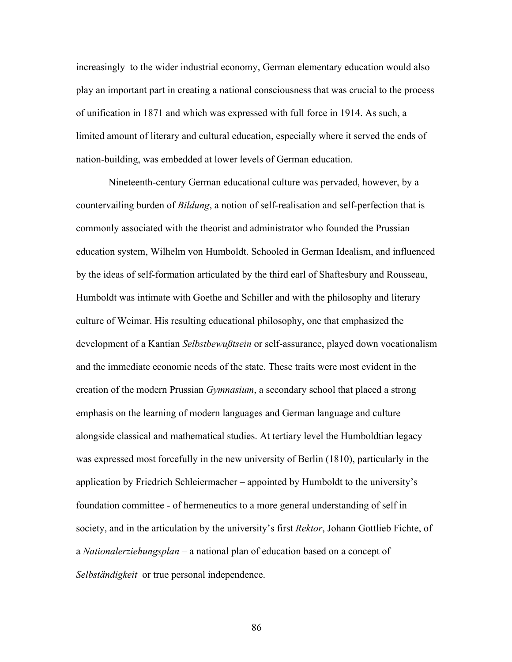increasingly to the wider industrial economy, German elementary education would also play an important part in creating a national consciousness that was crucial to the process of unification in 1871 and which was expressed with full force in 1914. As such, a limited amount of literary and cultural education, especially where it served the ends of nation-building, was embedded at lower levels of German education.

Nineteenth-century German educational culture was pervaded, however, by a countervailing burden of *Bildung*, a notion of self-realisation and self-perfection that is commonly associated with the theorist and administrator who founded the Prussian education system, Wilhelm von Humboldt. Schooled in German Idealism, and influenced by the ideas of self-formation articulated by the third earl of Shaftesbury and Rousseau, Humboldt was intimate with Goethe and Schiller and with the philosophy and literary culture of Weimar. His resulting educational philosophy, one that emphasized the development of a Kantian *Selbstbewußtsein* or self-assurance, played down vocationalism and the immediate economic needs of the state. These traits were most evident in the creation of the modern Prussian *Gymnasium*, a secondary school that placed a strong emphasis on the learning of modern languages and German language and culture alongside classical and mathematical studies. At tertiary level the Humboldtian legacy was expressed most forcefully in the new university of Berlin (1810), particularly in the application by Friedrich Schleiermacher – appointed by Humboldt to the university's foundation committee - of hermeneutics to a more general understanding of self in society, and in the articulation by the university's first *Rektor*, Johann Gottlieb Fichte, of a *Nationalerziehungsplan* – a national plan of education based on a concept of *Selbständigkeit* or true personal independence.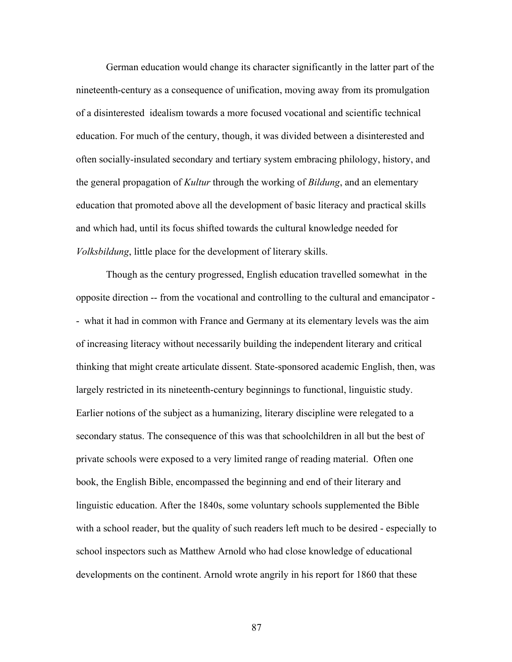German education would change its character significantly in the latter part of the nineteenth-century as a consequence of unification, moving away from its promulgation of a disinterested idealism towards a more focused vocational and scientific technical education. For much of the century, though, it was divided between a disinterested and often socially-insulated secondary and tertiary system embracing philology, history, and the general propagation of *Kultur* through the working of *Bildung*, and an elementary education that promoted above all the development of basic literacy and practical skills and which had, until its focus shifted towards the cultural knowledge needed for *Volksbildung*, little place for the development of literary skills.

Though as the century progressed, English education travelled somewhat in the opposite direction -- from the vocational and controlling to the cultural and emancipator - - what it had in common with France and Germany at its elementary levels was the aim of increasing literacy without necessarily building the independent literary and critical thinking that might create articulate dissent. State-sponsored academic English, then, was largely restricted in its nineteenth-century beginnings to functional, linguistic study. Earlier notions of the subject as a humanizing, literary discipline were relegated to a secondary status. The consequence of this was that schoolchildren in all but the best of private schools were exposed to a very limited range of reading material. Often one book, the English Bible, encompassed the beginning and end of their literary and linguistic education. After the 1840s, some voluntary schools supplemented the Bible with a school reader, but the quality of such readers left much to be desired - especially to school inspectors such as Matthew Arnold who had close knowledge of educational developments on the continent. Arnold wrote angrily in his report for 1860 that these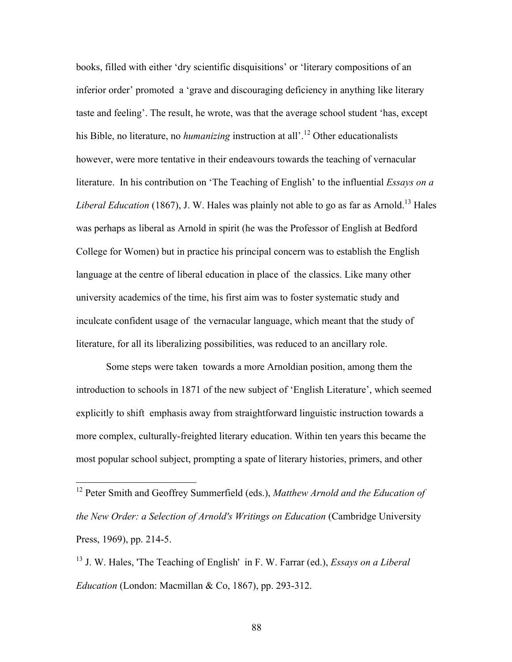books, filled with either 'dry scientific disquisitions' or 'literary compositions of an inferior order' promoted a 'grave and discouraging deficiency in anything like literary taste and feeling'. The result, he wrote, was that the average school student 'has, except his Bible, no literature, no *humanizing* instruction at all'.<sup>12</sup> Other educationalists however, were more tentative in their endeavours towards the teaching of vernacular literature. In his contribution on 'The Teaching of English' to the influential *Essays on a Liberal Education* (1867), J. W. Hales was plainly not able to go as far as Arnold.<sup>13</sup> Hales was perhaps as liberal as Arnold in spirit (he was the Professor of English at Bedford College for Women) but in practice his principal concern was to establish the English language at the centre of liberal education in place of the classics. Like many other university academics of the time, his first aim was to foster systematic study and inculcate confident usage of the vernacular language, which meant that the study of literature, for all its liberalizing possibilities, was reduced to an ancillary role.

Some steps were taken towards a more Arnoldian position, among them the introduction to schools in 1871 of the new subject of 'English Literature', which seemed explicitly to shift emphasis away from straightforward linguistic instruction towards a more complex, culturally-freighted literary education. Within ten years this became the most popular school subject, prompting a spate of literary histories, primers, and other

 <sup>12</sup> Peter Smith and Geoffrey Summerfield (eds.), *Matthew Arnold and the Education of the New Order: a Selection of Arnold's Writings on Education* (Cambridge University Press, 1969), pp. 214-5.

<sup>13</sup> J. W. Hales, 'The Teaching of English' in F. W. Farrar (ed.), *Essays on a Liberal Education* (London: Macmillan & Co, 1867), pp. 293-312.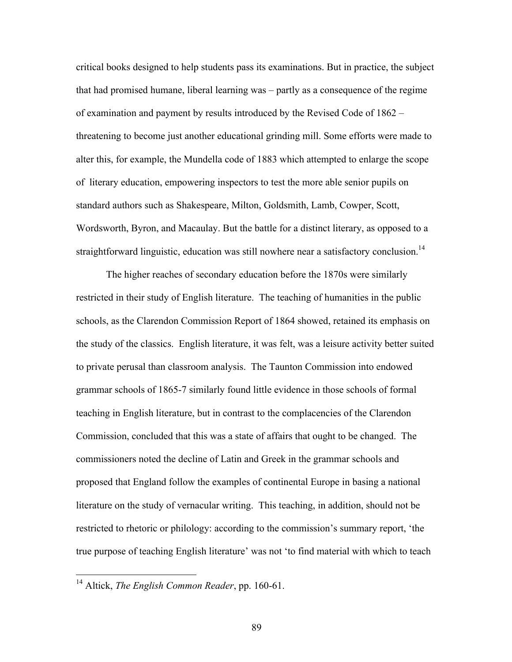critical books designed to help students pass its examinations. But in practice, the subject that had promised humane, liberal learning was – partly as a consequence of the regime of examination and payment by results introduced by the Revised Code of 1862 – threatening to become just another educational grinding mill. Some efforts were made to alter this, for example, the Mundella code of 1883 which attempted to enlarge the scope of literary education, empowering inspectors to test the more able senior pupils on standard authors such as Shakespeare, Milton, Goldsmith, Lamb, Cowper, Scott, Wordsworth, Byron, and Macaulay. But the battle for a distinct literary, as opposed to a straightforward linguistic, education was still nowhere near a satisfactory conclusion.<sup>14</sup>

The higher reaches of secondary education before the 1870s were similarly restricted in their study of English literature. The teaching of humanities in the public schools, as the Clarendon Commission Report of 1864 showed, retained its emphasis on the study of the classics. English literature, it was felt, was a leisure activity better suited to private perusal than classroom analysis. The Taunton Commission into endowed grammar schools of 1865-7 similarly found little evidence in those schools of formal teaching in English literature, but in contrast to the complacencies of the Clarendon Commission, concluded that this was a state of affairs that ought to be changed. The commissioners noted the decline of Latin and Greek in the grammar schools and proposed that England follow the examples of continental Europe in basing a national literature on the study of vernacular writing. This teaching, in addition, should not be restricted to rhetoric or philology: according to the commission's summary report, 'the true purpose of teaching English literature' was not 'to find material with which to teach

 <sup>14</sup> Altick, *The English Common Reader*, pp. 160-61.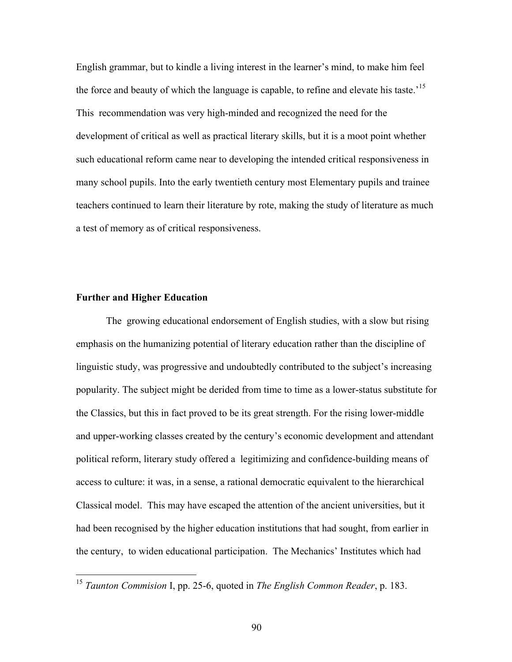English grammar, but to kindle a living interest in the learner's mind, to make him feel the force and beauty of which the language is capable, to refine and elevate his taste.<sup>15</sup> This recommendation was very high-minded and recognized the need for the development of critical as well as practical literary skills, but it is a moot point whether such educational reform came near to developing the intended critical responsiveness in many school pupils. Into the early twentieth century most Elementary pupils and trainee teachers continued to learn their literature by rote, making the study of literature as much a test of memory as of critical responsiveness.

#### **Further and Higher Education**

The growing educational endorsement of English studies, with a slow but rising emphasis on the humanizing potential of literary education rather than the discipline of linguistic study, was progressive and undoubtedly contributed to the subject's increasing popularity. The subject might be derided from time to time as a lower-status substitute for the Classics, but this in fact proved to be its great strength. For the rising lower-middle and upper-working classes created by the century's economic development and attendant political reform, literary study offered a legitimizing and confidence-building means of access to culture: it was, in a sense, a rational democratic equivalent to the hierarchical Classical model. This may have escaped the attention of the ancient universities, but it had been recognised by the higher education institutions that had sought, from earlier in the century, to widen educational participation. The Mechanics' Institutes which had

 <sup>15</sup> *Taunton Commision* I, pp. 25-6, quoted in *The English Common Reader*, p. 183.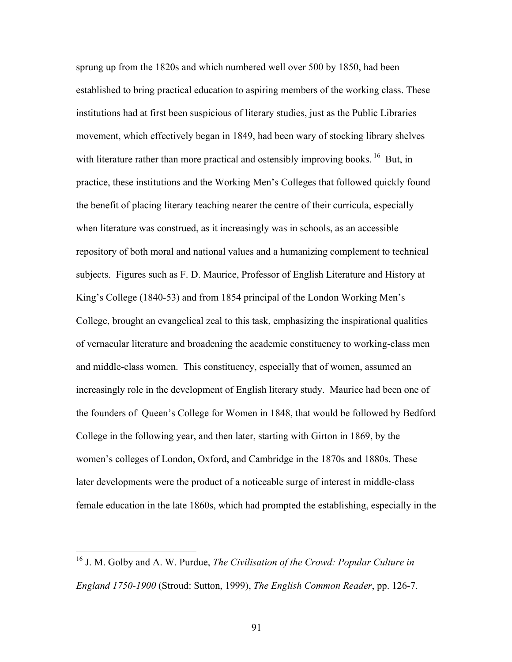sprung up from the 1820s and which numbered well over 500 by 1850, had been established to bring practical education to aspiring members of the working class. These institutions had at first been suspicious of literary studies, just as the Public Libraries movement, which effectively began in 1849, had been wary of stocking library shelves with literature rather than more practical and ostensibly improving books. <sup>16</sup> But, in practice, these institutions and the Working Men's Colleges that followed quickly found the benefit of placing literary teaching nearer the centre of their curricula, especially when literature was construed, as it increasingly was in schools, as an accessible repository of both moral and national values and a humanizing complement to technical subjects. Figures such as F. D. Maurice, Professor of English Literature and History at King's College (1840-53) and from 1854 principal of the London Working Men's College, brought an evangelical zeal to this task, emphasizing the inspirational qualities of vernacular literature and broadening the academic constituency to working-class men and middle-class women. This constituency, especially that of women, assumed an increasingly role in the development of English literary study. Maurice had been one of the founders of Queen's College for Women in 1848, that would be followed by Bedford College in the following year, and then later, starting with Girton in 1869, by the women's colleges of London, Oxford, and Cambridge in the 1870s and 1880s. These later developments were the product of a noticeable surge of interest in middle-class female education in the late 1860s, which had prompted the establishing, especially in the

 <sup>16</sup> J. M. Golby and A. W. Purdue, *The Civilisation of the Crowd: Popular Culture in England 1750-1900* (Stroud: Sutton, 1999), *The English Common Reader*, pp. 126-7.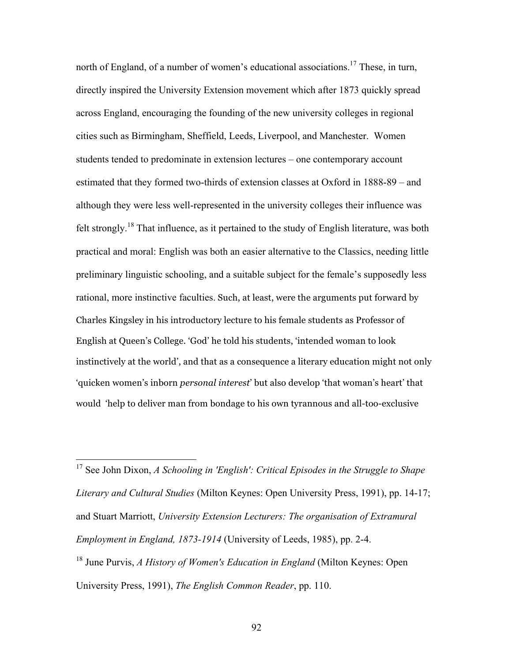north of England, of a number of women's educational associations.<sup>17</sup> These, in turn, directly inspired the University Extension movement which after 1873 quickly spread across England, encouraging the founding of the new university colleges in regional cities such as Birmingham, Sheffield, Leeds, Liverpool, and Manchester. Women students tended to predominate in extension lectures – one contemporary account estimated that they formed two-thirds of extension classes at Oxford in 1888-89 – and although they were less well-represented in the university colleges their influence was felt strongly.<sup>18</sup> That influence, as it pertained to the study of English literature, was both practical and moral: English was both an easier alternative to the Classics, needing little preliminary linguistic schooling, and a suitable subject for the female's supposedly less rational, more instinctive faculties. Such, at least, were the arguments put forward by Charles Kingsley in his introductory lecture to his female students as Professor of English at Queen's College. 'God' he told his students, 'intended woman to look instinctively at the world', and that as a consequence a literary education might not only 'quicken women's inborn *personal interest*' but also develop 'that woman's heart' that would 'help to deliver man from bondage to his own tyrannous and all-too-exclusive

 17 See John Dixon, *A Schooling in 'English': Critical Episodes in the Struggle to Shape Literary and Cultural Studies* (Milton Keynes: Open University Press, 1991), pp. 14-17; and Stuart Marriott, *University Extension Lecturers: The organisation of Extramural Employment in England, 1873-1914* (University of Leeds, 1985), pp. 2-4. <sup>18</sup> June Purvis, *A History of Women's Education in England* (Milton Keynes: Open University Press, 1991), *The English Common Reader*, pp. 110.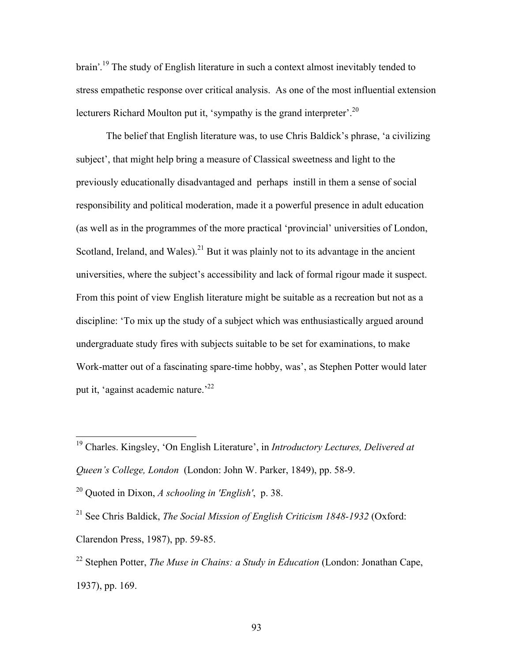brain'.<sup>19</sup> The study of English literature in such a context almost inevitably tended to stress empathetic response over critical analysis. As one of the most influential extension lecturers Richard Moulton put it, 'sympathy is the grand interpreter'.<sup>20</sup>

The belief that English literature was, to use Chris Baldick's phrase, 'a civilizing subject', that might help bring a measure of Classical sweetness and light to the previously educationally disadvantaged and perhaps instill in them a sense of social responsibility and political moderation, made it a powerful presence in adult education (as well as in the programmes of the more practical 'provincial' universities of London, Scotland, Ireland, and Wales).<sup>21</sup> But it was plainly not to its advantage in the ancient universities, where the subject's accessibility and lack of formal rigour made it suspect. From this point of view English literature might be suitable as a recreation but not as a discipline: 'To mix up the study of a subject which was enthusiastically argued around undergraduate study fires with subjects suitable to be set for examinations, to make Work-matter out of a fascinating spare-time hobby, was', as Stephen Potter would later put it, 'against academic nature.'<sup>22</sup>

 <sup>19</sup> Charles. Kingsley, 'On English Literature', in *Introductory Lectures, Delivered at Queen's College, London* (London: John W. Parker, 1849), pp. 58-9.

<sup>20</sup> Quoted in Dixon, *A schooling in 'English'*, p. 38.

<sup>21</sup> See Chris Baldick, *The Social Mission of English Criticism 1848-1932* (Oxford: Clarendon Press, 1987), pp. 59-85.

<sup>22</sup> Stephen Potter, *The Muse in Chains: a Study in Education* (London: Jonathan Cape, 1937), pp. 169.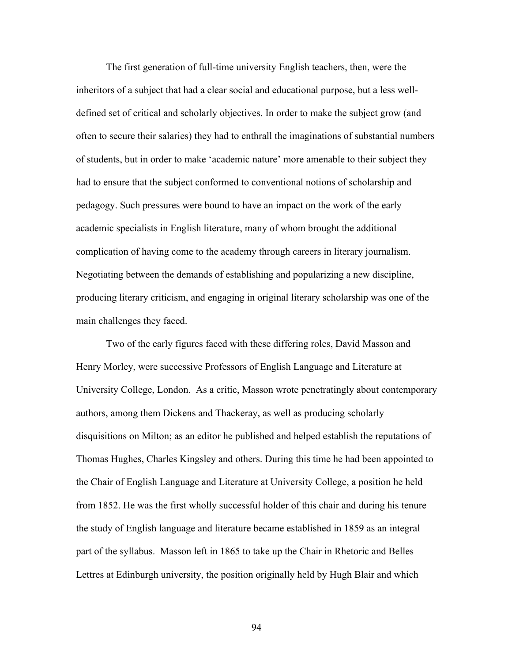The first generation of full-time university English teachers, then, were the inheritors of a subject that had a clear social and educational purpose, but a less welldefined set of critical and scholarly objectives. In order to make the subject grow (and often to secure their salaries) they had to enthrall the imaginations of substantial numbers of students, but in order to make 'academic nature' more amenable to their subject they had to ensure that the subject conformed to conventional notions of scholarship and pedagogy. Such pressures were bound to have an impact on the work of the early academic specialists in English literature, many of whom brought the additional complication of having come to the academy through careers in literary journalism. Negotiating between the demands of establishing and popularizing a new discipline, producing literary criticism, and engaging in original literary scholarship was one of the main challenges they faced.

Two of the early figures faced with these differing roles, David Masson and Henry Morley, were successive Professors of English Language and Literature at University College, London. As a critic, Masson wrote penetratingly about contemporary authors, among them Dickens and Thackeray, as well as producing scholarly disquisitions on Milton; as an editor he published and helped establish the reputations of Thomas Hughes, Charles Kingsley and others. During this time he had been appointed to the Chair of English Language and Literature at University College, a position he held from 1852. He was the first wholly successful holder of this chair and during his tenure the study of English language and literature became established in 1859 as an integral part of the syllabus. Masson left in 1865 to take up the Chair in Rhetoric and Belles Lettres at Edinburgh university, the position originally held by Hugh Blair and which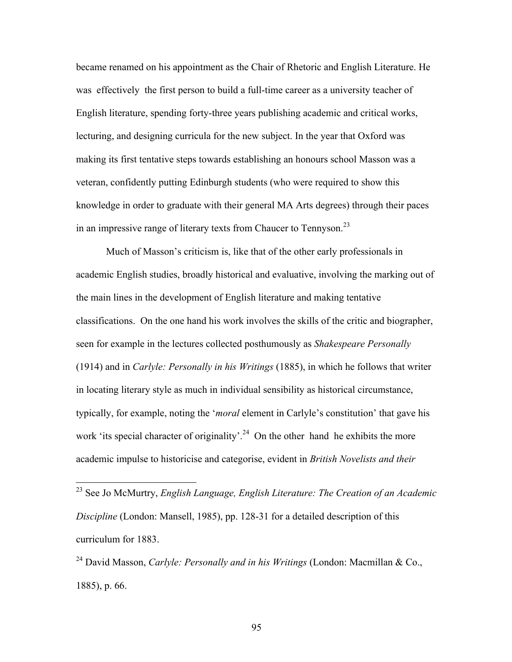became renamed on his appointment as the Chair of Rhetoric and English Literature. He was effectively the first person to build a full-time career as a university teacher of English literature, spending forty-three years publishing academic and critical works, lecturing, and designing curricula for the new subject. In the year that Oxford was making its first tentative steps towards establishing an honours school Masson was a veteran, confidently putting Edinburgh students (who were required to show this knowledge in order to graduate with their general MA Arts degrees) through their paces in an impressive range of literary texts from Chaucer to Tennyson.<sup>23</sup>

Much of Masson's criticism is, like that of the other early professionals in academic English studies, broadly historical and evaluative, involving the marking out of the main lines in the development of English literature and making tentative classifications. On the one hand his work involves the skills of the critic and biographer, seen for example in the lectures collected posthumously as *Shakespeare Personally* (1914) and in *Carlyle: Personally in his Writings* (1885), in which he follows that writer in locating literary style as much in individual sensibility as historical circumstance, typically, for example, noting the '*moral* element in Carlyle's constitution' that gave his work 'its special character of originality'.<sup>24</sup> On the other hand he exhibits the more academic impulse to historicise and categorise, evident in *British Novelists and their* 

 23 See Jo McMurtry, *English Language, English Literature: The Creation of an Academic Discipline* (London: Mansell, 1985), pp. 128-31 for a detailed description of this curriculum for 1883.

<sup>24</sup> David Masson, *Carlyle: Personally and in his Writings* (London: Macmillan & Co., 1885), p. 66.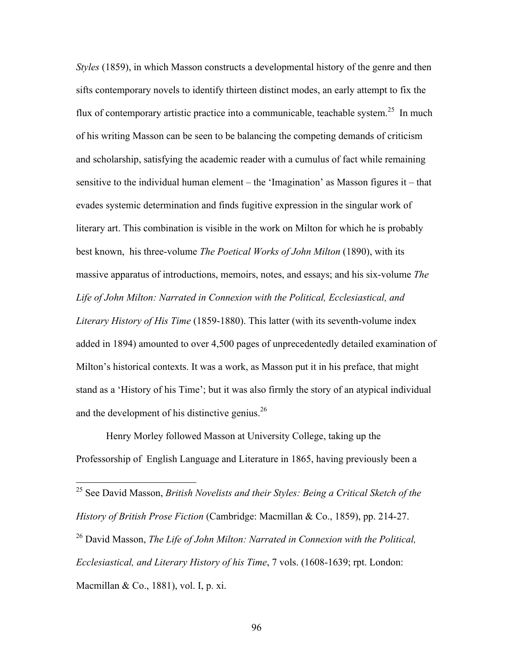*Styles* (1859), in which Masson constructs a developmental history of the genre and then sifts contemporary novels to identify thirteen distinct modes, an early attempt to fix the flux of contemporary artistic practice into a communicable, teachable system.<sup>25</sup> In much of his writing Masson can be seen to be balancing the competing demands of criticism and scholarship, satisfying the academic reader with a cumulus of fact while remaining sensitive to the individual human element – the 'Imagination' as Masson figures it – that evades systemic determination and finds fugitive expression in the singular work of literary art. This combination is visible in the work on Milton for which he is probably best known, his three-volume *The Poetical Works of John Milton* (1890), with its massive apparatus of introductions, memoirs, notes, and essays; and his six-volume *The Life of John Milton: Narrated in Connexion with the Political, Ecclesiastical, and Literary History of His Time* (1859-1880). This latter (with its seventh-volume index added in 1894) amounted to over 4,500 pages of unprecedentedly detailed examination of Milton's historical contexts. It was a work, as Masson put it in his preface, that might stand as a 'History of his Time'; but it was also firmly the story of an atypical individual and the development of his distinctive genius. $^{26}$ 

Henry Morley followed Masson at University College, taking up the Professorship of English Language and Literature in 1865, having previously been a

 25 See David Masson, *British Novelists and their Styles: Being a Critical Sketch of the History of British Prose Fiction* (Cambridge: Macmillan & Co., 1859), pp. 214-27.

<sup>26</sup> David Masson, *The Life of John Milton: Narrated in Connexion with the Political, Ecclesiastical, and Literary History of his Time*, 7 vols. (1608-1639; rpt. London: Macmillan & Co., 1881), vol. I, p. xi.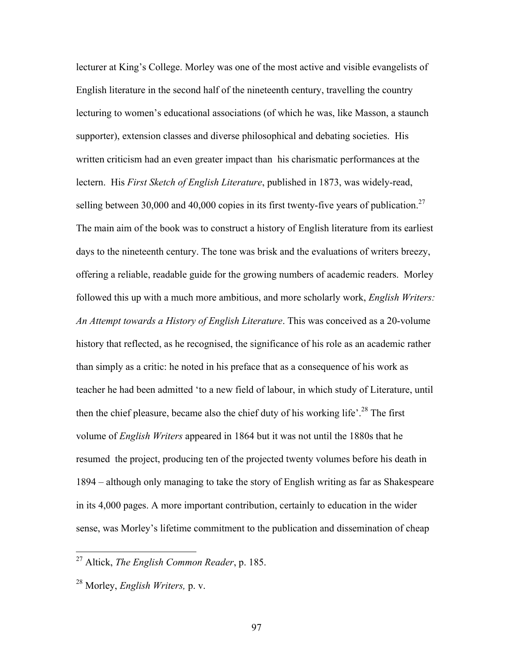lecturer at King's College. Morley was one of the most active and visible evangelists of English literature in the second half of the nineteenth century, travelling the country lecturing to women's educational associations (of which he was, like Masson, a staunch supporter), extension classes and diverse philosophical and debating societies. His written criticism had an even greater impact than his charismatic performances at the lectern. His *First Sketch of English Literature*, published in 1873, was widely-read, selling between 30,000 and 40,000 copies in its first twenty-five years of publication.<sup>27</sup> The main aim of the book was to construct a history of English literature from its earliest days to the nineteenth century. The tone was brisk and the evaluations of writers breezy, offering a reliable, readable guide for the growing numbers of academic readers. Morley followed this up with a much more ambitious, and more scholarly work, *English Writers: An Attempt towards a History of English Literature*. This was conceived as a 20-volume history that reflected, as he recognised, the significance of his role as an academic rather than simply as a critic: he noted in his preface that as a consequence of his work as teacher he had been admitted 'to a new field of labour, in which study of Literature, until then the chief pleasure, became also the chief duty of his working life'.<sup>28</sup> The first volume of *English Writers* appeared in 1864 but it was not until the 1880s that he resumed the project, producing ten of the projected twenty volumes before his death in 1894 – although only managing to take the story of English writing as far as Shakespeare in its 4,000 pages. A more important contribution, certainly to education in the wider sense, was Morley's lifetime commitment to the publication and dissemination of cheap

 <sup>27</sup> Altick, *The English Common Reader*, p. 185.

<sup>28</sup> Morley, *English Writers,* p. v.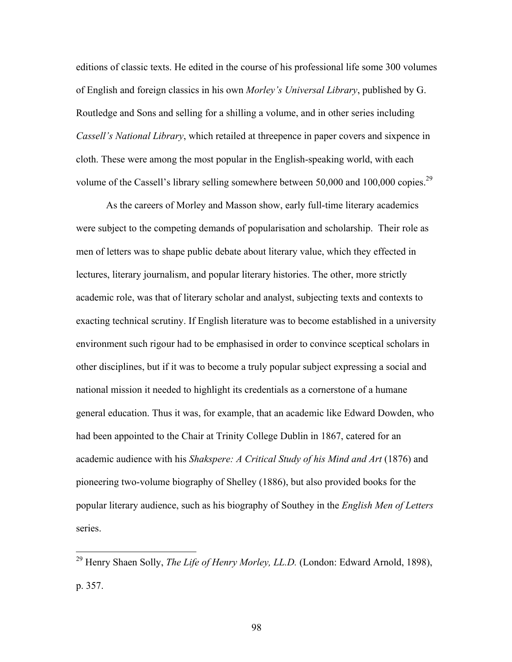editions of classic texts. He edited in the course of his professional life some 300 volumes of English and foreign classics in his own *Morley's Universal Library*, published by G. Routledge and Sons and selling for a shilling a volume, and in other series including *Cassell's National Library*, which retailed at threepence in paper covers and sixpence in cloth. These were among the most popular in the English-speaking world, with each volume of the Cassell's library selling somewhere between 50,000 and 100,000 copies.<sup>29</sup>

As the careers of Morley and Masson show, early full-time literary academics were subject to the competing demands of popularisation and scholarship. Their role as men of letters was to shape public debate about literary value, which they effected in lectures, literary journalism, and popular literary histories. The other, more strictly academic role, was that of literary scholar and analyst, subjecting texts and contexts to exacting technical scrutiny. If English literature was to become established in a university environment such rigour had to be emphasised in order to convince sceptical scholars in other disciplines, but if it was to become a truly popular subject expressing a social and national mission it needed to highlight its credentials as a cornerstone of a humane general education. Thus it was, for example, that an academic like Edward Dowden, who had been appointed to the Chair at Trinity College Dublin in 1867, catered for an academic audience with his *Shakspere: A Critical Study of his Mind and Art* (1876) and pioneering two-volume biography of Shelley (1886), but also provided books for the popular literary audience, such as his biography of Southey in the *English Men of Letters* series.

 <sup>29</sup> Henry Shaen Solly, *The Life of Henry Morley, LL.D.* (London: Edward Arnold, 1898), p. 357.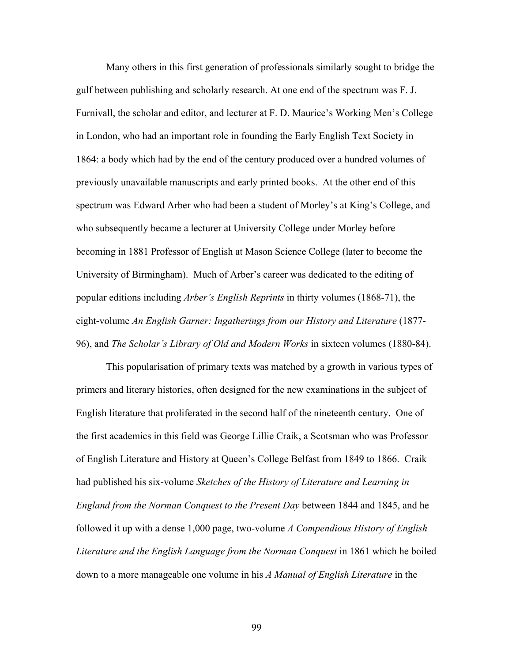Many others in this first generation of professionals similarly sought to bridge the gulf between publishing and scholarly research. At one end of the spectrum was F. J. Furnivall, the scholar and editor, and lecturer at F. D. Maurice's Working Men's College in London, who had an important role in founding the Early English Text Society in 1864: a body which had by the end of the century produced over a hundred volumes of previously unavailable manuscripts and early printed books. At the other end of this spectrum was Edward Arber who had been a student of Morley's at King's College, and who subsequently became a lecturer at University College under Morley before becoming in 1881 Professor of English at Mason Science College (later to become the University of Birmingham). Much of Arber's career was dedicated to the editing of popular editions including *Arber's English Reprints* in thirty volumes (1868-71), the eight-volume *An English Garner: Ingatherings from our History and Literature* (1877- 96), and *The Scholar's Library of Old and Modern Works* in sixteen volumes (1880-84).

This popularisation of primary texts was matched by a growth in various types of primers and literary histories, often designed for the new examinations in the subject of English literature that proliferated in the second half of the nineteenth century. One of the first academics in this field was George Lillie Craik, a Scotsman who was Professor of English Literature and History at Queen's College Belfast from 1849 to 1866. Craik had published his six-volume *Sketches of the History of Literature and Learning in England from the Norman Conquest to the Present Day* between 1844 and 1845, and he followed it up with a dense 1,000 page, two-volume *A Compendious History of English Literature and the English Language from the Norman Conquest* in 1861 which he boiled down to a more manageable one volume in his *A Manual of English Literature* in the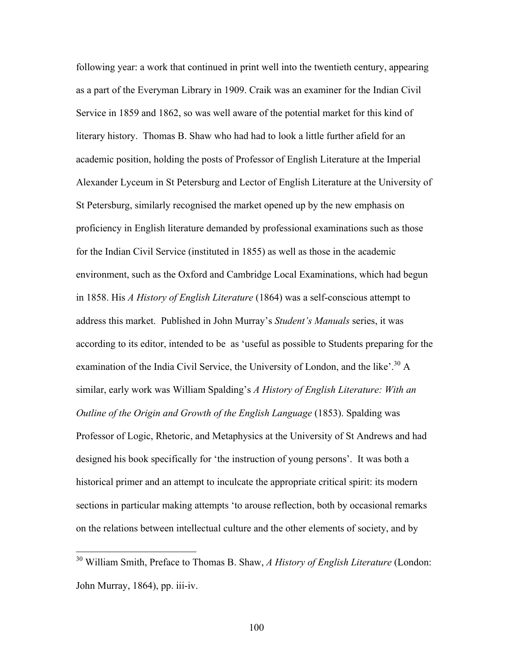following year: a work that continued in print well into the twentieth century, appearing as a part of the Everyman Library in 1909. Craik was an examiner for the Indian Civil Service in 1859 and 1862, so was well aware of the potential market for this kind of literary history. Thomas B. Shaw who had had to look a little further afield for an academic position, holding the posts of Professor of English Literature at the Imperial Alexander Lyceum in St Petersburg and Lector of English Literature at the University of St Petersburg, similarly recognised the market opened up by the new emphasis on proficiency in English literature demanded by professional examinations such as those for the Indian Civil Service (instituted in 1855) as well as those in the academic environment, such as the Oxford and Cambridge Local Examinations, which had begun in 1858. His *A History of English Literature* (1864) was a self-conscious attempt to address this market. Published in John Murray's *Student's Manuals* series, it was according to its editor, intended to be as 'useful as possible to Students preparing for the examination of the India Civil Service, the University of London, and the like'.<sup>30</sup> A similar, early work was William Spalding's *A History of English Literature: With an Outline of the Origin and Growth of the English Language* (1853). Spalding was Professor of Logic, Rhetoric, and Metaphysics at the University of St Andrews and had designed his book specifically for 'the instruction of young persons'. It was both a historical primer and an attempt to inculcate the appropriate critical spirit: its modern sections in particular making attempts 'to arouse reflection, both by occasional remarks on the relations between intellectual culture and the other elements of society, and by

 <sup>30</sup> William Smith, Preface to Thomas B. Shaw, *A History of English Literature* (London: John Murray, 1864), pp. iii-iv.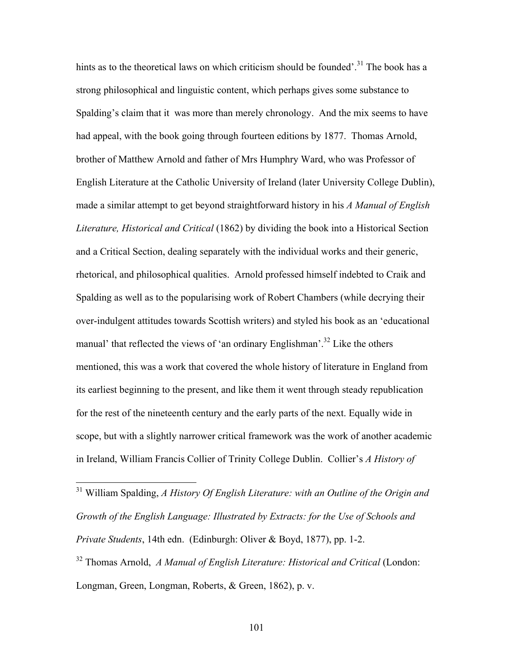hints as to the theoretical laws on which criticism should be founded'.<sup>31</sup> The book has a strong philosophical and linguistic content, which perhaps gives some substance to Spalding's claim that it was more than merely chronology. And the mix seems to have had appeal, with the book going through fourteen editions by 1877. Thomas Arnold, brother of Matthew Arnold and father of Mrs Humphry Ward, who was Professor of English Literature at the Catholic University of Ireland (later University College Dublin), made a similar attempt to get beyond straightforward history in his *A Manual of English Literature, Historical and Critical* (1862) by dividing the book into a Historical Section and a Critical Section, dealing separately with the individual works and their generic, rhetorical, and philosophical qualities. Arnold professed himself indebted to Craik and Spalding as well as to the popularising work of Robert Chambers (while decrying their over-indulgent attitudes towards Scottish writers) and styled his book as an 'educational manual' that reflected the views of 'an ordinary Englishman'.32 Like the others mentioned, this was a work that covered the whole history of literature in England from its earliest beginning to the present, and like them it went through steady republication for the rest of the nineteenth century and the early parts of the next. Equally wide in scope, but with a slightly narrower critical framework was the work of another academic in Ireland, William Francis Collier of Trinity College Dublin. Collier's *A History of* 

 31 William Spalding, *A History Of English Literature: with an Outline of the Origin and Growth of the English Language: Illustrated by Extracts: for the Use of Schools and Private Students*, 14th edn. (Edinburgh: Oliver & Boyd, 1877), pp. 1-2. <sup>32</sup> Thomas Arnold, *A Manual of English Literature: Historical and Critical* (London: Longman, Green, Longman, Roberts, & Green, 1862), p. v.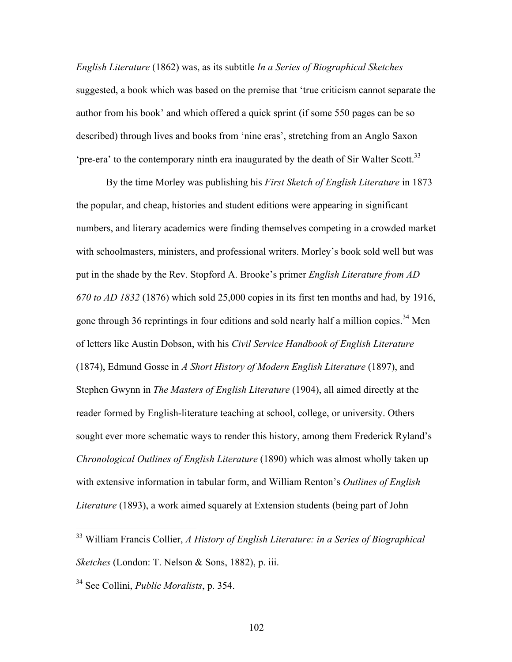*English Literature* (1862) was, as its subtitle *In a Series of Biographical Sketches* suggested, a book which was based on the premise that 'true criticism cannot separate the author from his book' and which offered a quick sprint (if some 550 pages can be so described) through lives and books from 'nine eras', stretching from an Anglo Saxon 'pre-era' to the contemporary ninth era inaugurated by the death of Sir Walter Scott.<sup>33</sup>

By the time Morley was publishing his *First Sketch of English Literature* in 1873 the popular, and cheap, histories and student editions were appearing in significant numbers, and literary academics were finding themselves competing in a crowded market with schoolmasters, ministers, and professional writers. Morley's book sold well but was put in the shade by the Rev. Stopford A. Brooke's primer *English Literature from AD 670 to AD 1832* (1876) which sold 25,000 copies in its first ten months and had, by 1916, gone through 36 reprintings in four editions and sold nearly half a million copies.<sup>34</sup> Men of letters like Austin Dobson, with his *Civil Service Handbook of English Literature* (1874), Edmund Gosse in *A Short History of Modern English Literature* (1897), and Stephen Gwynn in *The Masters of English Literature* (1904), all aimed directly at the reader formed by English-literature teaching at school, college, or university. Others sought ever more schematic ways to render this history, among them Frederick Ryland's *Chronological Outlines of English Literature* (1890) which was almost wholly taken up with extensive information in tabular form, and William Renton's *Outlines of English Literature* (1893), a work aimed squarely at Extension students (being part of John

 <sup>33</sup> William Francis Collier, *A History of English Literature: in a Series of Biographical Sketches* (London: T. Nelson & Sons, 1882), p. iii.

<sup>34</sup> See Collini, *Public Moralists*, p. 354.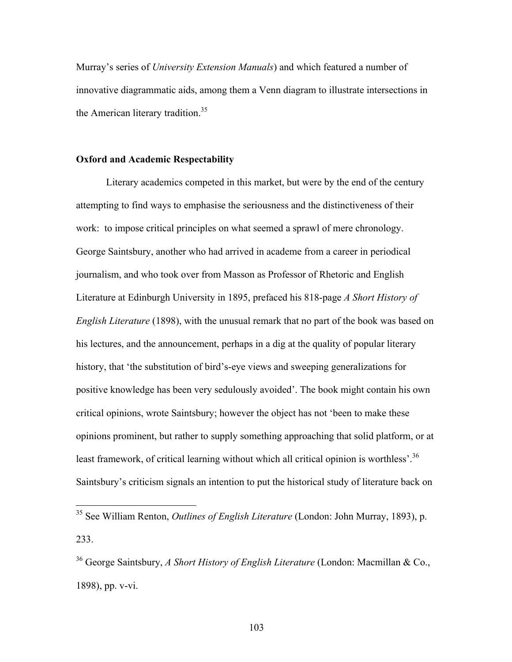Murray's series of *University Extension Manuals*) and which featured a number of innovative diagrammatic aids, among them a Venn diagram to illustrate intersections in the American literary tradition.<sup>35</sup>

### **Oxford and Academic Respectability**

Literary academics competed in this market, but were by the end of the century attempting to find ways to emphasise the seriousness and the distinctiveness of their work: to impose critical principles on what seemed a sprawl of mere chronology. George Saintsbury, another who had arrived in academe from a career in periodical journalism, and who took over from Masson as Professor of Rhetoric and English Literature at Edinburgh University in 1895, prefaced his 818-page *A Short History of English Literature* (1898), with the unusual remark that no part of the book was based on his lectures, and the announcement, perhaps in a dig at the quality of popular literary history, that 'the substitution of bird's-eye views and sweeping generalizations for positive knowledge has been very sedulously avoided'. The book might contain his own critical opinions, wrote Saintsbury; however the object has not 'been to make these opinions prominent, but rather to supply something approaching that solid platform, or at least framework, of critical learning without which all critical opinion is worthless'.<sup>36</sup> Saintsbury's criticism signals an intention to put the historical study of literature back on

 <sup>35</sup> See William Renton, *Outlines of English Literature* (London: John Murray, 1893), p. 233.

<sup>36</sup> George Saintsbury, *A Short History of English Literature* (London: Macmillan & Co., 1898), pp. v-vi.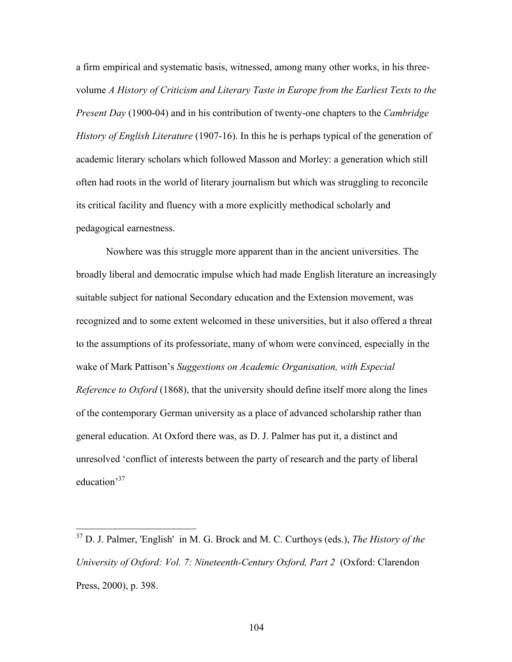a firm empirical and systematic basis, witnessed, among many other works, in his threevolume *A History of Criticism and Literary Taste in Europe from the Earliest Texts to the Present Day* (1900-04) and in his contribution of twenty-one chapters to the *Cambridge History of English Literature* (1907-16). In this he is perhaps typical of the generation of academic literary scholars which followed Masson and Morley: a generation which still often had roots in the world of literary journalism but which was struggling to reconcile its critical facility and fluency with a more explicitly methodical scholarly and pedagogical earnestness.

Nowhere was this struggle more apparent than in the ancient universities. The broadly liberal and democratic impulse which had made English literature an increasingly suitable subject for national Secondary education and the Extension movement, was recognized and to some extent welcomed in these universities, but it also offered a threat to the assumptions of its professoriate, many of whom were convinced, especially in the wake of Mark Pattison's *Suggestions on Academic Organisation, with Especial Reference to Oxford* (1868), that the university should define itself more along the lines of the contemporary German university as a place of advanced scholarship rather than general education. At Oxford there was, as D. J. Palmer has put it, a distinct and unresolved 'conflict of interests between the party of research and the party of liberal education'<sup>37</sup>

 <sup>37</sup> D. J. Palmer, 'English' in M. G. Brock and M. C. Curthoys (eds.), *The History of the University of Oxford: Vol. 7: Nineteenth-Century Oxford, Part 2* (Oxford: Clarendon Press, 2000), p. 398.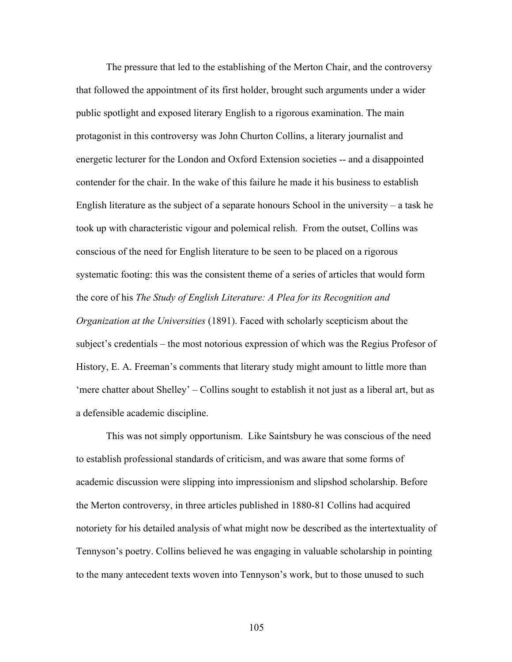The pressure that led to the establishing of the Merton Chair, and the controversy that followed the appointment of its first holder, brought such arguments under a wider public spotlight and exposed literary English to a rigorous examination. The main protagonist in this controversy was John Churton Collins, a literary journalist and energetic lecturer for the London and Oxford Extension societies -- and a disappointed contender for the chair. In the wake of this failure he made it his business to establish English literature as the subject of a separate honours School in the university – a task he took up with characteristic vigour and polemical relish. From the outset, Collins was conscious of the need for English literature to be seen to be placed on a rigorous systematic footing: this was the consistent theme of a series of articles that would form the core of his *The Study of English Literature: A Plea for its Recognition and Organization at the Universities* (1891). Faced with scholarly scepticism about the subject's credentials – the most notorious expression of which was the Regius Profesor of History, E. A. Freeman's comments that literary study might amount to little more than 'mere chatter about Shelley' – Collins sought to establish it not just as a liberal art, but as a defensible academic discipline.

This was not simply opportunism. Like Saintsbury he was conscious of the need to establish professional standards of criticism, and was aware that some forms of academic discussion were slipping into impressionism and slipshod scholarship. Before the Merton controversy, in three articles published in 1880-81 Collins had acquired notoriety for his detailed analysis of what might now be described as the intertextuality of Tennyson's poetry. Collins believed he was engaging in valuable scholarship in pointing to the many antecedent texts woven into Tennyson's work, but to those unused to such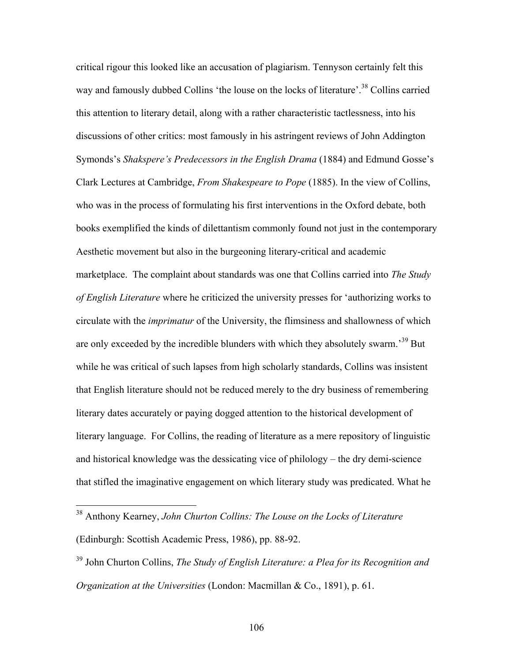critical rigour this looked like an accusation of plagiarism. Tennyson certainly felt this way and famously dubbed Collins 'the louse on the locks of literature'.<sup>38</sup> Collins carried this attention to literary detail, along with a rather characteristic tactlessness, into his discussions of other critics: most famously in his astringent reviews of John Addington Symonds's *Shakspere's Predecessors in the English Drama* (1884) and Edmund Gosse's Clark Lectures at Cambridge, *From Shakespeare to Pope* (1885). In the view of Collins, who was in the process of formulating his first interventions in the Oxford debate, both books exemplified the kinds of dilettantism commonly found not just in the contemporary Aesthetic movement but also in the burgeoning literary-critical and academic marketplace. The complaint about standards was one that Collins carried into *The Study of English Literature* where he criticized the university presses for 'authorizing works to circulate with the *imprimatur* of the University, the flimsiness and shallowness of which are only exceeded by the incredible blunders with which they absolutely swarm.'<sup>39</sup> But while he was critical of such lapses from high scholarly standards, Collins was insistent that English literature should not be reduced merely to the dry business of remembering literary dates accurately or paying dogged attention to the historical development of literary language. For Collins, the reading of literature as a mere repository of linguistic and historical knowledge was the dessicating vice of philology – the dry demi-science that stifled the imaginative engagement on which literary study was predicated. What he

 <sup>38</sup> Anthony Kearney, *John Churton Collins: The Louse on the Locks of Literature* (Edinburgh: Scottish Academic Press, 1986), pp. 88-92.

<sup>39</sup> John Churton Collins, *The Study of English Literature: a Plea for its Recognition and Organization at the Universities* (London: Macmillan & Co., 1891), p. 61.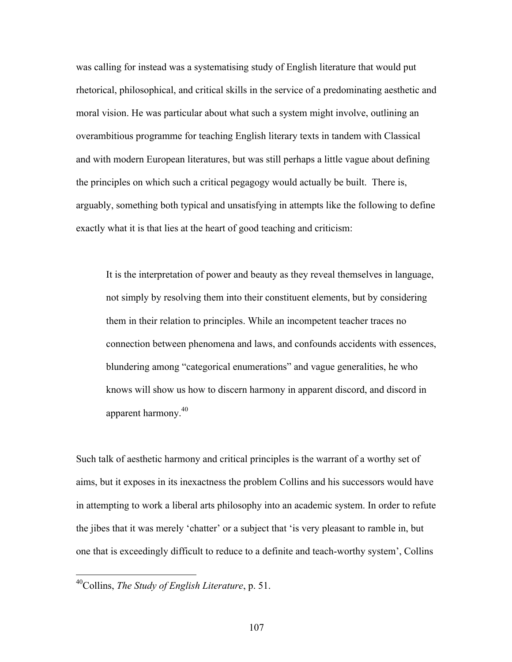was calling for instead was a systematising study of English literature that would put rhetorical, philosophical, and critical skills in the service of a predominating aesthetic and moral vision. He was particular about what such a system might involve, outlining an overambitious programme for teaching English literary texts in tandem with Classical and with modern European literatures, but was still perhaps a little vague about defining the principles on which such a critical pegagogy would actually be built. There is, arguably, something both typical and unsatisfying in attempts like the following to define exactly what it is that lies at the heart of good teaching and criticism:

It is the interpretation of power and beauty as they reveal themselves in language, not simply by resolving them into their constituent elements, but by considering them in their relation to principles. While an incompetent teacher traces no connection between phenomena and laws, and confounds accidents with essences, blundering among "categorical enumerations" and vague generalities, he who knows will show us how to discern harmony in apparent discord, and discord in apparent harmony.<sup>40</sup>

Such talk of aesthetic harmony and critical principles is the warrant of a worthy set of aims, but it exposes in its inexactness the problem Collins and his successors would have in attempting to work a liberal arts philosophy into an academic system. In order to refute the jibes that it was merely 'chatter' or a subject that 'is very pleasant to ramble in, but one that is exceedingly difficult to reduce to a definite and teach-worthy system', Collins

 <sup>40</sup>Collins, *The Study of English Literature*, p. 51.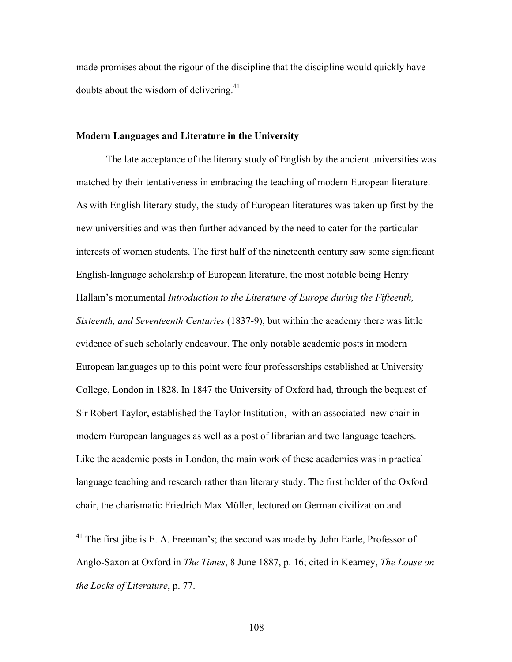made promises about the rigour of the discipline that the discipline would quickly have doubts about the wisdom of delivering.<sup>41</sup>

### **Modern Languages and Literature in the University**

The late acceptance of the literary study of English by the ancient universities was matched by their tentativeness in embracing the teaching of modern European literature. As with English literary study, the study of European literatures was taken up first by the new universities and was then further advanced by the need to cater for the particular interests of women students. The first half of the nineteenth century saw some significant English-language scholarship of European literature, the most notable being Henry Hallam's monumental *Introduction to the Literature of Europe during the Fifteenth, Sixteenth, and Seventeenth Centuries* (1837-9), but within the academy there was little evidence of such scholarly endeavour. The only notable academic posts in modern European languages up to this point were four professorships established at University College, London in 1828. In 1847 the University of Oxford had, through the bequest of Sir Robert Taylor, established the Taylor Institution, with an associated new chair in modern European languages as well as a post of librarian and two language teachers. Like the academic posts in London, the main work of these academics was in practical language teaching and research rather than literary study. The first holder of the Oxford chair, the charismatic Friedrich Max Müller, lectured on German civilization and

<sup>&</sup>lt;sup>41</sup> The first jibe is E. A. Freeman's; the second was made by John Earle, Professor of Anglo-Saxon at Oxford in *The Times*, 8 June 1887, p. 16; cited in Kearney, *The Louse on the Locks of Literature*, p. 77.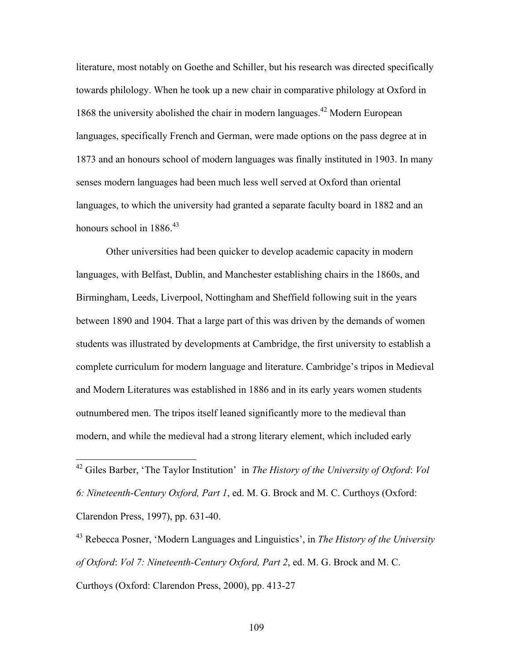literature, most notably on Goethe and Schiller, but his research was directed specifically towards philology. When he took up a new chair in comparative philology at Oxford in 1868 the university abolished the chair in modern languages.<sup>42</sup> Modern European languages, specifically French and German, were made options on the pass degree at in 1873 and an honours school of modern languages was finally instituted in 1903. In many senses modern languages had been much less well served at Oxford than oriental languages, to which the university had granted a separate faculty board in 1882 and an honours school in  $1886<sup>43</sup>$ 

Other universities had been quicker to develop academic capacity in modern languages, with Belfast, Dublin, and Manchester establishing chairs in the 1860s, and Birmingham, Leeds, Liverpool, Nottingham and Sheffield following suit in the years between 1890 and 1904. That a large part of this was driven by the demands of women students was illustrated by developments at Cambridge, the first university to establish a complete curriculum for modern language and literature. Cambridge's tripos in Medieval and Modern Literatures was established in 1886 and in its early years women students outnumbered men. The tripos itself leaned significantly more to the medieval than modern, and while the medieval had a strong literary element, which included early

<sup>43</sup> Rebecca Posner, 'Modern Languages and Linguistics', in *The History of the University of Oxford*: *Vol 7: Nineteenth-Century Oxford, Part 2*, ed. M. G. Brock and M. C. Curthoys (Oxford: Clarendon Press, 2000), pp. 413-27

 <sup>42</sup> Giles Barber, 'The Taylor Institution' in *The History of the University of Oxford*: *Vol 6: Nineteenth-Century Oxford, Part 1*, ed. M. G. Brock and M. C. Curthoys (Oxford: Clarendon Press, 1997), pp. 631-40.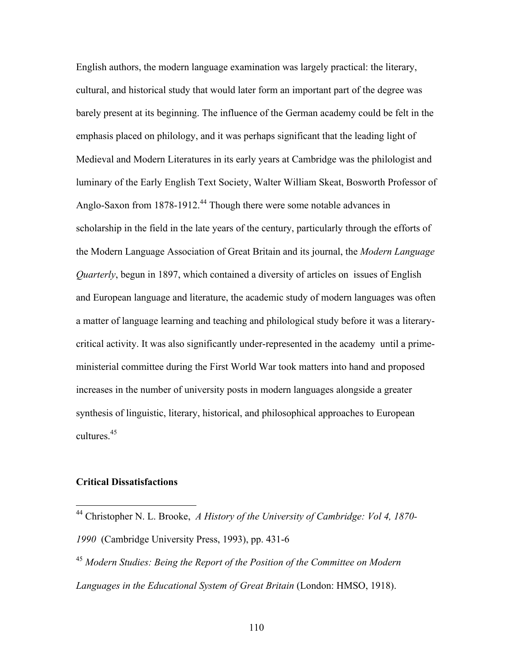English authors, the modern language examination was largely practical: the literary, cultural, and historical study that would later form an important part of the degree was barely present at its beginning. The influence of the German academy could be felt in the emphasis placed on philology, and it was perhaps significant that the leading light of Medieval and Modern Literatures in its early years at Cambridge was the philologist and luminary of the Early English Text Society, Walter William Skeat, Bosworth Professor of Anglo-Saxon from 1878-1912.<sup>44</sup> Though there were some notable advances in scholarship in the field in the late years of the century, particularly through the efforts of the Modern Language Association of Great Britain and its journal, the *Modern Language Quarterly*, begun in 1897, which contained a diversity of articles on issues of English and European language and literature, the academic study of modern languages was often a matter of language learning and teaching and philological study before it was a literarycritical activity. It was also significantly under-represented in the academy until a primeministerial committee during the First World War took matters into hand and proposed increases in the number of university posts in modern languages alongside a greater synthesis of linguistic, literary, historical, and philosophical approaches to European cultures. 45

# **Critical Dissatisfactions**

 <sup>44</sup> Christopher N. L. Brooke, *A History of the University of Cambridge: Vol 4, 1870- 1990* (Cambridge University Press, 1993), pp. 431-6

<sup>45</sup> *Modern Studies: Being the Report of the Position of the Committee on Modern Languages in the Educational System of Great Britain* (London: HMSO, 1918).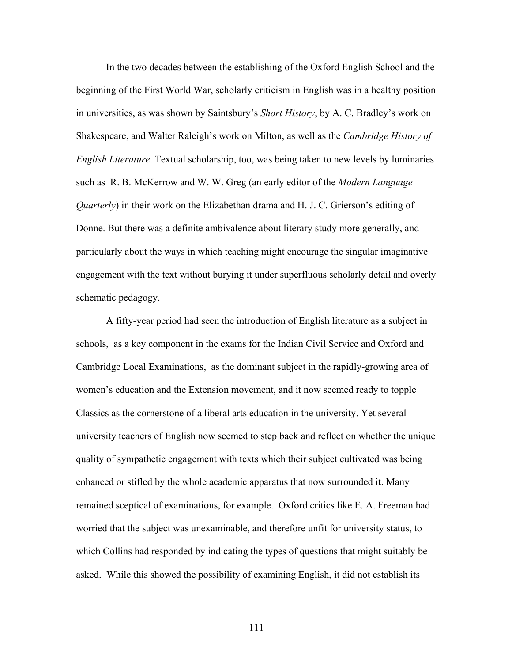In the two decades between the establishing of the Oxford English School and the beginning of the First World War, scholarly criticism in English was in a healthy position in universities, as was shown by Saintsbury's *Short History*, by A. C. Bradley's work on Shakespeare, and Walter Raleigh's work on Milton, as well as the *Cambridge History of English Literature*. Textual scholarship, too, was being taken to new levels by luminaries such as R. B. McKerrow and W. W. Greg (an early editor of the *Modern Language Quarterly*) in their work on the Elizabethan drama and H. J. C. Grierson's editing of Donne. But there was a definite ambivalence about literary study more generally, and particularly about the ways in which teaching might encourage the singular imaginative engagement with the text without burying it under superfluous scholarly detail and overly schematic pedagogy.

A fifty-year period had seen the introduction of English literature as a subject in schools, as a key component in the exams for the Indian Civil Service and Oxford and Cambridge Local Examinations, as the dominant subject in the rapidly-growing area of women's education and the Extension movement, and it now seemed ready to topple Classics as the cornerstone of a liberal arts education in the university. Yet several university teachers of English now seemed to step back and reflect on whether the unique quality of sympathetic engagement with texts which their subject cultivated was being enhanced or stifled by the whole academic apparatus that now surrounded it. Many remained sceptical of examinations, for example. Oxford critics like E. A. Freeman had worried that the subject was unexaminable, and therefore unfit for university status, to which Collins had responded by indicating the types of questions that might suitably be asked. While this showed the possibility of examining English, it did not establish its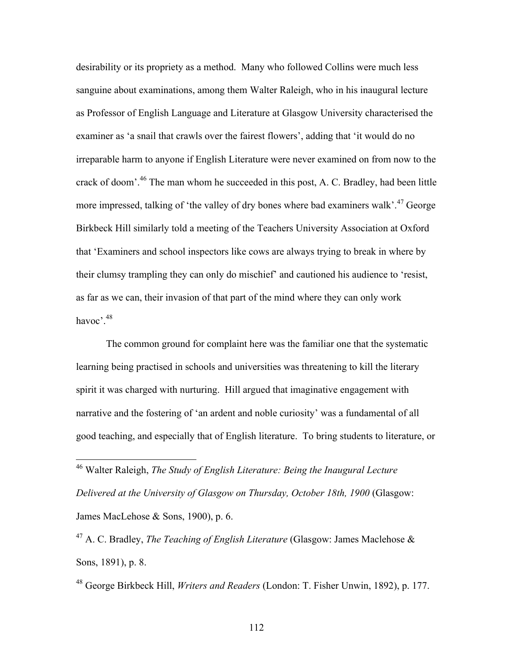desirability or its propriety as a method. Many who followed Collins were much less sanguine about examinations, among them Walter Raleigh, who in his inaugural lecture as Professor of English Language and Literature at Glasgow University characterised the examiner as 'a snail that crawls over the fairest flowers', adding that 'it would do no irreparable harm to anyone if English Literature were never examined on from now to the crack of doom'.<sup>46</sup> The man whom he succeeded in this post, A. C. Bradley, had been little more impressed, talking of 'the valley of dry bones where bad examiners walk'.<sup>47</sup> George Birkbeck Hill similarly told a meeting of the Teachers University Association at Oxford that 'Examiners and school inspectors like cows are always trying to break in where by their clumsy trampling they can only do mischief' and cautioned his audience to 'resist, as far as we can, their invasion of that part of the mind where they can only work havoc'. 48

The common ground for complaint here was the familiar one that the systematic learning being practised in schools and universities was threatening to kill the literary spirit it was charged with nurturing. Hill argued that imaginative engagement with narrative and the fostering of 'an ardent and noble curiosity' was a fundamental of all good teaching, and especially that of English literature. To bring students to literature, or

<sup>47</sup> A. C. Bradley, *The Teaching of English Literature* (Glasgow: James Maclehose & Sons, 1891), p. 8.

<sup>48</sup> George Birkbeck Hill, *Writers and Readers* (London: T. Fisher Unwin, 1892), p. 177.

 <sup>46</sup> Walter Raleigh, *The Study of English Literature: Being the Inaugural Lecture Delivered at the University of Glasgow on Thursday, October 18th, 1900* (Glasgow: James MacLehose & Sons, 1900), p. 6.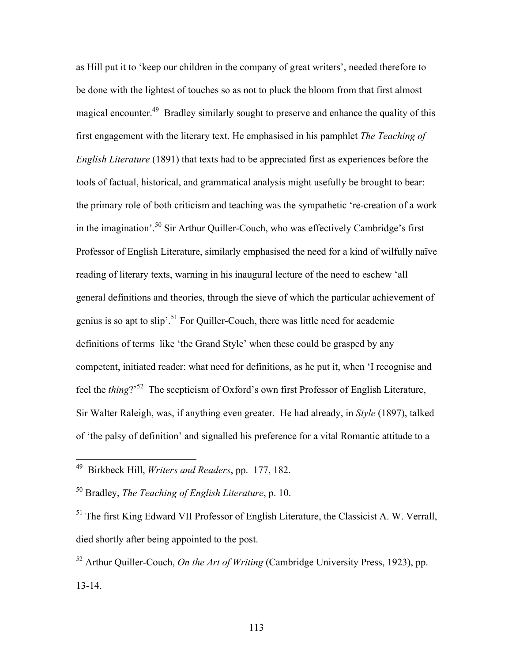as Hill put it to 'keep our children in the company of great writers', needed therefore to be done with the lightest of touches so as not to pluck the bloom from that first almost magical encounter.<sup>49</sup> Bradley similarly sought to preserve and enhance the quality of this first engagement with the literary text. He emphasised in his pamphlet *The Teaching of English Literature* (1891) that texts had to be appreciated first as experiences before the tools of factual, historical, and grammatical analysis might usefully be brought to bear: the primary role of both criticism and teaching was the sympathetic 're-creation of a work in the imagination'.<sup>50</sup> Sir Arthur Quiller-Couch, who was effectively Cambridge's first Professor of English Literature, similarly emphasised the need for a kind of wilfully naïve reading of literary texts, warning in his inaugural lecture of the need to eschew 'all general definitions and theories, through the sieve of which the particular achievement of genius is so apt to slip'.51 For Quiller-Couch, there was little need for academic definitions of terms like 'the Grand Style' when these could be grasped by any competent, initiated reader: what need for definitions, as he put it, when 'I recognise and feel the *thing*?'52 The scepticism of Oxford's own first Professor of English Literature, Sir Walter Raleigh, was, if anything even greater. He had already, in *Style* (1897), talked of 'the palsy of definition' and signalled his preference for a vital Romantic attitude to a

 $<sup>51</sup>$  The first King Edward VII Professor of English Literature, the Classicist A. W. Verrall,</sup> died shortly after being appointed to the post.

 <sup>49</sup> Birkbeck Hill, *Writers and Readers*, pp. 177, 182.

<sup>50</sup> Bradley, *The Teaching of English Literature*, p. 10.

<sup>52</sup> Arthur Quiller-Couch, *On the Art of Writing* (Cambridge University Press, 1923), pp. 13-14.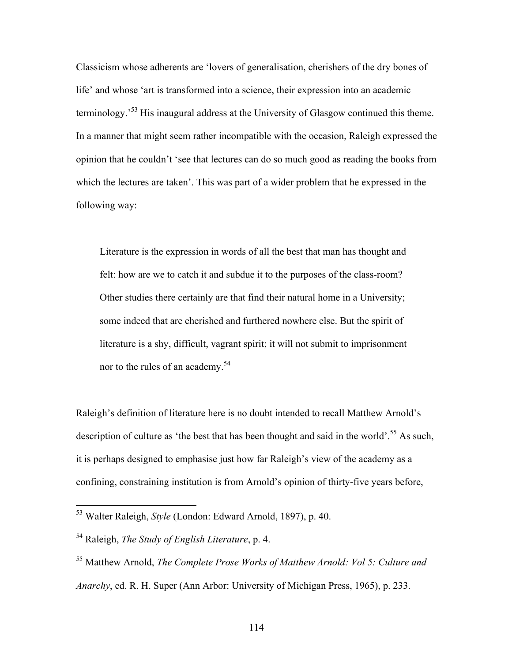Classicism whose adherents are 'lovers of generalisation, cherishers of the dry bones of life' and whose 'art is transformed into a science, their expression into an academic terminology.'<sup>53</sup> His inaugural address at the University of Glasgow continued this theme. In a manner that might seem rather incompatible with the occasion, Raleigh expressed the opinion that he couldn't 'see that lectures can do so much good as reading the books from which the lectures are taken'. This was part of a wider problem that he expressed in the following way:

Literature is the expression in words of all the best that man has thought and felt: how are we to catch it and subdue it to the purposes of the class-room? Other studies there certainly are that find their natural home in a University; some indeed that are cherished and furthered nowhere else. But the spirit of literature is a shy, difficult, vagrant spirit; it will not submit to imprisonment nor to the rules of an academy.<sup>54</sup>

Raleigh's definition of literature here is no doubt intended to recall Matthew Arnold's description of culture as 'the best that has been thought and said in the world'.<sup>55</sup> As such, it is perhaps designed to emphasise just how far Raleigh's view of the academy as a confining, constraining institution is from Arnold's opinion of thirty-five years before,

 <sup>53</sup> Walter Raleigh, *Style* (London: Edward Arnold, 1897), p. 40.

<sup>54</sup> Raleigh, *The Study of English Literature*, p. 4.

<sup>55</sup> Matthew Arnold, *The Complete Prose Works of Matthew Arnold: Vol 5: Culture and Anarchy*, ed. R. H. Super (Ann Arbor: University of Michigan Press, 1965), p. 233.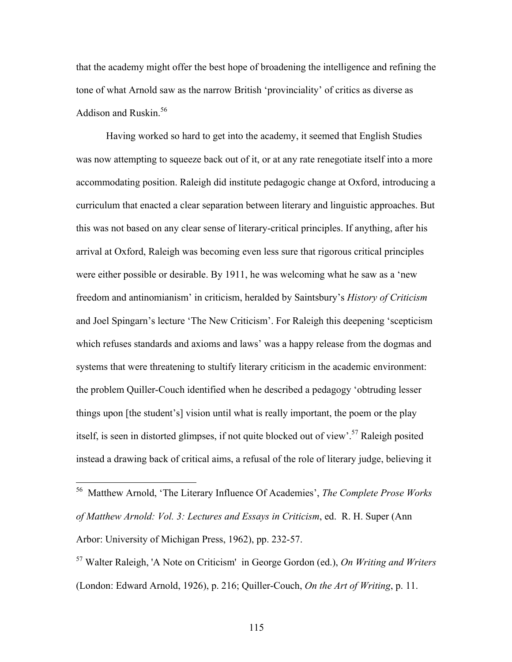that the academy might offer the best hope of broadening the intelligence and refining the tone of what Arnold saw as the narrow British 'provinciality' of critics as diverse as Addison and Ruskin. 56

Having worked so hard to get into the academy, it seemed that English Studies was now attempting to squeeze back out of it, or at any rate renegotiate itself into a more accommodating position. Raleigh did institute pedagogic change at Oxford, introducing a curriculum that enacted a clear separation between literary and linguistic approaches. But this was not based on any clear sense of literary-critical principles. If anything, after his arrival at Oxford, Raleigh was becoming even less sure that rigorous critical principles were either possible or desirable. By 1911, he was welcoming what he saw as a 'new freedom and antinomianism' in criticism, heralded by Saintsbury's *History of Criticism* and Joel Spingarn's lecture 'The New Criticism'. For Raleigh this deepening 'scepticism which refuses standards and axioms and laws' was a happy release from the dogmas and systems that were threatening to stultify literary criticism in the academic environment: the problem Quiller-Couch identified when he described a pedagogy 'obtruding lesser things upon [the student's] vision until what is really important, the poem or the play itself, is seen in distorted glimpses, if not quite blocked out of view'.57 Raleigh posited instead a drawing back of critical aims, a refusal of the role of literary judge, believing it

 <sup>56</sup> Matthew Arnold, 'The Literary Influence Of Academies', *The Complete Prose Works of Matthew Arnold: Vol. 3: Lectures and Essays in Criticism*, ed. R. H. Super (Ann Arbor: University of Michigan Press, 1962), pp. 232-57.

<sup>57</sup> Walter Raleigh, 'A Note on Criticism' in George Gordon (ed.), *On Writing and Writers* (London: Edward Arnold, 1926), p. 216; Quiller-Couch, *On the Art of Writing*, p. 11.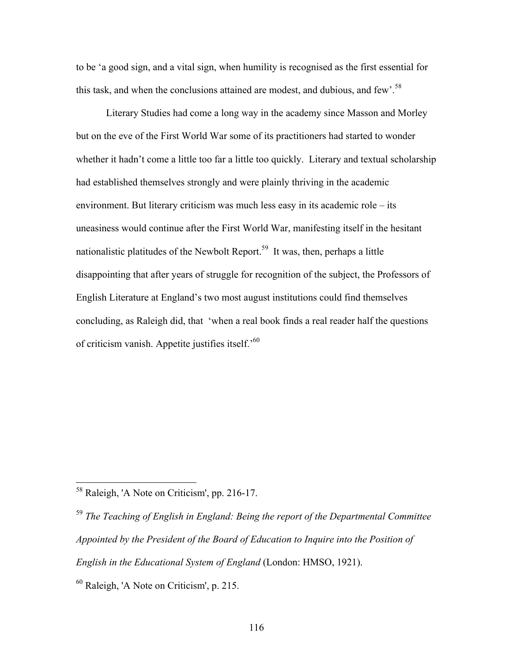to be 'a good sign, and a vital sign, when humility is recognised as the first essential for this task, and when the conclusions attained are modest, and dubious, and few'.<sup>58</sup>

Literary Studies had come a long way in the academy since Masson and Morley but on the eve of the First World War some of its practitioners had started to wonder whether it hadn't come a little too far a little too quickly. Literary and textual scholarship had established themselves strongly and were plainly thriving in the academic environment. But literary criticism was much less easy in its academic role – its uneasiness would continue after the First World War, manifesting itself in the hesitant nationalistic platitudes of the Newbolt Report.<sup>59</sup> It was, then, perhaps a little disappointing that after years of struggle for recognition of the subject, the Professors of English Literature at England's two most august institutions could find themselves concluding, as Raleigh did, that 'when a real book finds a real reader half the questions of criticism vanish. Appetite justifies itself.'<sup>60</sup>

58 Raleigh, 'A Note on Criticism', pp. 216-17.

<sup>59</sup> *The Teaching of English in England: Being the report of the Departmental Committee Appointed by the President of the Board of Education to Inquire into the Position of English in the Educational System of England* (London: HMSO, 1921).

<sup>60</sup> Raleigh, 'A Note on Criticism', p. 215.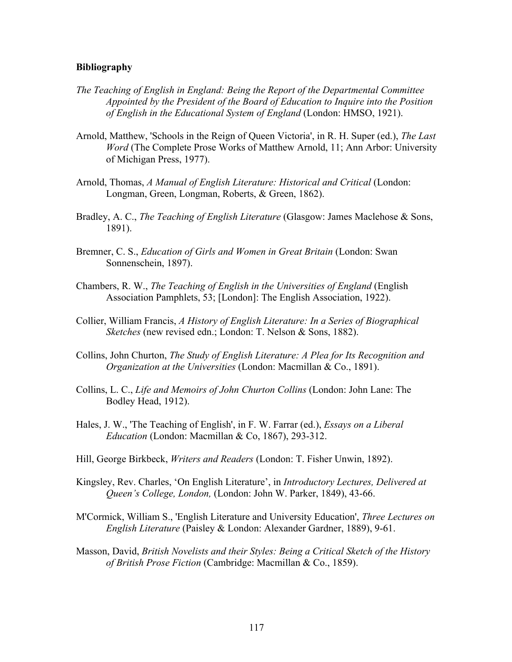## **Bibliography**

- *The Teaching of English in England: Being the Report of the Departmental Committee Appointed by the President of the Board of Education to Inquire into the Position of English in the Educational System of England* (London: HMSO, 1921).
- Arnold, Matthew, 'Schools in the Reign of Queen Victoria', in R. H. Super (ed.), *The Last Word* (The Complete Prose Works of Matthew Arnold, 11; Ann Arbor: University of Michigan Press, 1977).
- Arnold, Thomas, *A Manual of English Literature: Historical and Critical* (London: Longman, Green, Longman, Roberts, & Green, 1862).
- Bradley, A. C., *The Teaching of English Literature* (Glasgow: James Maclehose & Sons, 1891).
- Bremner, C. S., *Education of Girls and Women in Great Britain* (London: Swan Sonnenschein, 1897).
- Chambers, R. W., *The Teaching of English in the Universities of England* (English Association Pamphlets, 53; [London]: The English Association, 1922).
- Collier, William Francis, *A History of English Literature: In a Series of Biographical Sketches* (new revised edn.; London: T. Nelson & Sons, 1882).
- Collins, John Churton, *The Study of English Literature: A Plea for Its Recognition and Organization at the Universities* (London: Macmillan & Co., 1891).
- Collins, L. C., *Life and Memoirs of John Churton Collins* (London: John Lane: The Bodley Head, 1912).
- Hales, J. W., 'The Teaching of English', in F. W. Farrar (ed.), *Essays on a Liberal Education* (London: Macmillan & Co, 1867), 293-312.
- Hill, George Birkbeck, *Writers and Readers* (London: T. Fisher Unwin, 1892).
- Kingsley, Rev. Charles, 'On English Literature', in *Introductory Lectures, Delivered at Queen's College, London,* (London: John W. Parker, 1849), 43-66.
- M'Cormick, William S., 'English Literature and University Education', *Three Lectures on English Literature* (Paisley & London: Alexander Gardner, 1889), 9-61.
- Masson, David, *British Novelists and their Styles: Being a Critical Sketch of the History of British Prose Fiction* (Cambridge: Macmillan & Co., 1859).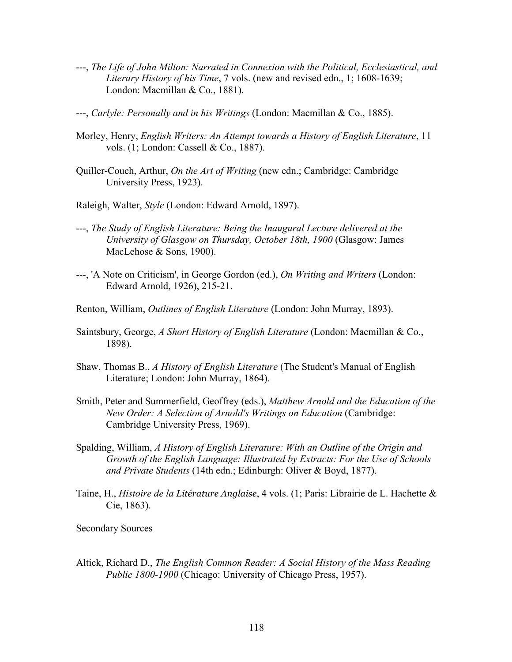- ---, *The Life of John Milton: Narrated in Connexion with the Political, Ecclesiastical, and Literary History of his Time*, 7 vols. (new and revised edn., 1; 1608-1639; London: Macmillan & Co., 1881).
- ---, *Carlyle: Personally and in his Writings* (London: Macmillan & Co., 1885).
- Morley, Henry, *English Writers: An Attempt towards a History of English Literature*, 11 vols. (1; London: Cassell & Co., 1887).
- Quiller-Couch, Arthur, *On the Art of Writing* (new edn.; Cambridge: Cambridge University Press, 1923).
- Raleigh, Walter, *Style* (London: Edward Arnold, 1897).
- ---, *The Study of English Literature: Being the Inaugural Lecture delivered at the University of Glasgow on Thursday, October 18th, 1900* (Glasgow: James MacLehose & Sons, 1900).
- ---, 'A Note on Criticism', in George Gordon (ed.), *On Writing and Writers* (London: Edward Arnold, 1926), 215-21.
- Renton, William, *Outlines of English Literature* (London: John Murray, 1893).
- Saintsbury, George, *A Short History of English Literature* (London: Macmillan & Co., 1898).
- Shaw, Thomas B., *A History of English Literature* (The Student's Manual of English Literature; London: John Murray, 1864).
- Smith, Peter and Summerfield, Geoffrey (eds.), *Matthew Arnold and the Education of the New Order: A Selection of Arnold's Writings on Education* (Cambridge: Cambridge University Press, 1969).
- Spalding, William, *A History of English Literature: With an Outline of the Origin and Growth of the English Language: Illustrated by Extracts: For the Use of Schools and Private Students* (14th edn.; Edinburgh: Oliver & Boyd, 1877).
- Taine, H., *Histoire de la Litérature Anglaise*, 4 vols. (1; Paris: Librairie de L. Hachette & Cie, 1863).

Secondary Sources

Altick, Richard D., *The English Common Reader: A Social History of the Mass Reading Public 1800-1900* (Chicago: University of Chicago Press, 1957).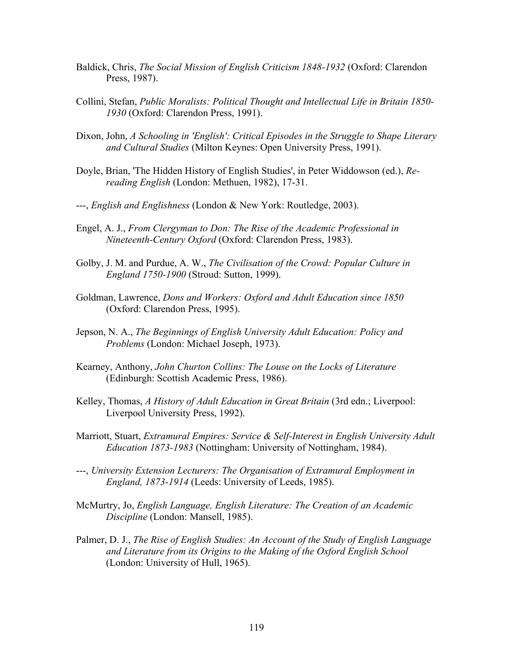- Baldick, Chris, *The Social Mission of English Criticism 1848-1932* (Oxford: Clarendon Press, 1987).
- Collini, Stefan, *Public Moralists: Political Thought and Intellectual Life in Britain 1850- 1930* (Oxford: Clarendon Press, 1991).
- Dixon, John, *A Schooling in 'English': Critical Episodes in the Struggle to Shape Literary and Cultural Studies* (Milton Keynes: Open University Press, 1991).
- Doyle, Brian, 'The Hidden History of English Studies', in Peter Widdowson (ed.), *Rereading English* (London: Methuen, 1982), 17-31.
- ---, *English and Englishness* (London & New York: Routledge, 2003).
- Engel, A. J., *From Clergyman to Don: The Rise of the Academic Professional in Nineteenth-Century Oxford* (Oxford: Clarendon Press, 1983).
- Golby, J. M. and Purdue, A. W., *The Civilisation of the Crowd: Popular Culture in England 1750-1900* (Stroud: Sutton, 1999).
- Goldman, Lawrence, *Dons and Workers: Oxford and Adult Education since 1850* (Oxford: Clarendon Press, 1995).
- Jepson, N. A., *The Beginnings of English University Adult Education: Policy and Problems* (London: Michael Joseph, 1973).
- Kearney, Anthony, *John Churton Collins: The Louse on the Locks of Literature* (Edinburgh: Scottish Academic Press, 1986).
- Kelley, Thomas, *A History of Adult Education in Great Britain* (3rd edn.; Liverpool: Liverpool University Press, 1992).
- Marriott, Stuart, *Extramural Empires: Service & Self-Interest in English University Adult Education 1873-1983* (Nottingham: University of Nottingham, 1984).
- ---, *University Extension Lecturers: The Organisation of Extramural Employment in England, 1873-1914* (Leeds: University of Leeds, 1985).
- McMurtry, Jo, *English Language, English Literature: The Creation of an Academic Discipline* (London: Mansell, 1985).
- Palmer, D. J., *The Rise of English Studies: An Account of the Study of English Language and Literature from its Origins to the Making of the Oxford English School* (London: University of Hull, 1965).